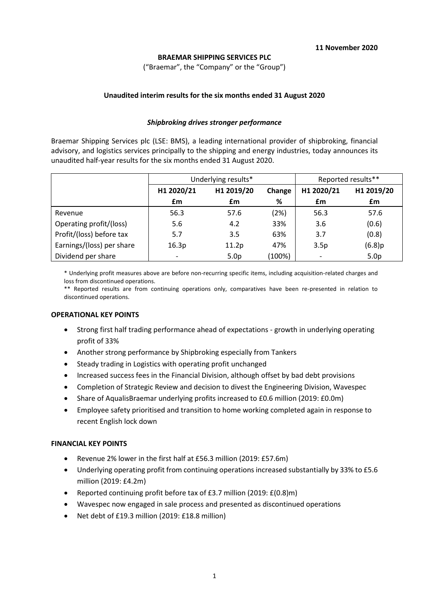## **BRAEMAR SHIPPING SERVICES PLC**

("Braemar", the "Company" or the "Group")

## **Unaudited interim results for the six months ended 31 August 2020**

## *Shipbroking drives stronger performance*

Braemar Shipping Services plc (LSE: BMS), a leading international provider of shipbroking, financial advisory, and logistics services principally to the shipping and energy industries, today announces its unaudited half-year results for the six months ended 31 August 2020.

|                           |                          | Underlying results*  | Reported results** |      |                  |
|---------------------------|--------------------------|----------------------|--------------------|------|------------------|
|                           | H1 2020/21               | H1 2019/20<br>Change |                    |      | H1 2019/20       |
|                           | £m                       | £m                   | %                  | £m   | £m               |
| Revenue                   | 56.3                     | 57.6                 | (2%)               | 56.3 | 57.6             |
| Operating profit/(loss)   | 5.6                      | 4.2                  | 33%                | 3.6  | (0.6)            |
| Profit/(loss) before tax  | 5.7                      | 3.5                  | 63%                | 3.7  | (0.8)            |
| Earnings/(loss) per share | 16.3p                    | 11.2p                | 47%                | 3.5p | $(6.8)$ p        |
| Dividend per share        | $\overline{\phantom{a}}$ | 5.0 <sub>p</sub>     | (100%)             |      | 5.0 <sub>p</sub> |

\* Underlying profit measures above are before non-recurring specific items, including acquisition-related charges and loss from discontinued operations.

\*\* Reported results are from continuing operations only, comparatives have been re-presented in relation to discontinued operations.

## **OPERATIONAL KEY POINTS**

- Strong first half trading performance ahead of expectations growth in underlying operating profit of 33%
- Another strong performance by Shipbroking especially from Tankers
- Steady trading in Logistics with operating profit unchanged
- Increased success fees in the Financial Division, although offset by bad debt provisions
- Completion of Strategic Review and decision to divest the Engineering Division, Wavespec
- Share of AqualisBraemar underlying profits increased to £0.6 million (2019: £0.0m)
- Employee safety prioritised and transition to home working completed again in response to recent English lock down

### **FINANCIAL KEY POINTS**

- Revenue 2% lower in the first half at £56.3 million (2019: £57.6m)
- Underlying operating profit from continuing operations increased substantially by 33% to £5.6 million (2019: £4.2m)
- Reported continuing profit before tax of £3.7 million (2019: £(0.8)m)
- Wavespec now engaged in sale process and presented as discontinued operations
- Net debt of £19.3 million (2019: £18.8 million)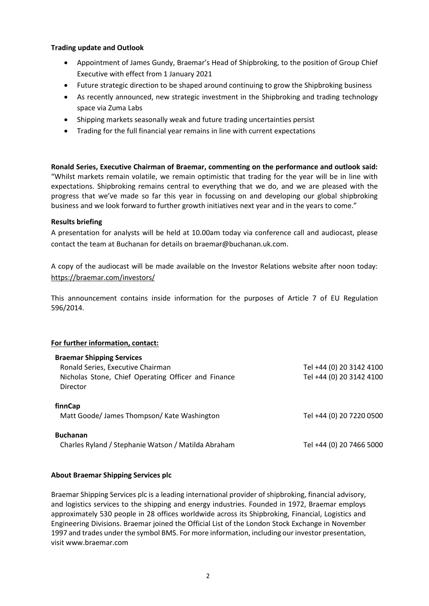## **Trading update and Outlook**

- Appointment of James Gundy, Braemar's Head of Shipbroking, to the position of Group Chief Executive with effect from 1 January 2021
- Future strategic direction to be shaped around continuing to grow the Shipbroking business
- As recently announced, new strategic investment in the Shipbroking and trading technology space via Zuma Labs
- Shipping markets seasonally weak and future trading uncertainties persist
- Trading for the full financial year remains in line with current expectations

**Ronald Series, Executive Chairman of Braemar, commenting on the performance and outlook said:**  "Whilst markets remain volatile, we remain optimistic that trading for the year will be in line with expectations. Shipbroking remains central to everything that we do, and we are pleased with the progress that we've made so far this year in focussing on and developing our global shipbroking business and we look forward to further growth initiatives next year and in the years to come."

## **Results briefing**

A presentation for analysts will be held at 10.00am today via conference call and audiocast, please contact the team at Buchanan for details on [braemar@buchanan.uk.com.](mailto:braemar@buchanan.uk.com)

A copy of the audiocast will be made available on the Investor Relations website after noon today: <https://braemar.com/investors/>

This announcement contains inside information for the purposes of Article 7 of EU Regulation 596/2014.

## **For further information, contact:**

| <b>Braemar Shipping Services</b>                    |                          |
|-----------------------------------------------------|--------------------------|
| Ronald Series, Executive Chairman                   | Tel +44 (0) 20 3142 4100 |
| Nicholas Stone, Chief Operating Officer and Finance | Tel +44 (0) 20 3142 4100 |
| Director                                            |                          |
| finnCap                                             |                          |
| Matt Goode/ James Thompson/ Kate Washington         | Tel +44 (0) 20 7220 0500 |
| <b>Buchanan</b>                                     |                          |
| Charles Ryland / Stephanie Watson / Matilda Abraham | Tel +44 (0) 20 7466 5000 |
|                                                     |                          |

### **About Braemar Shipping Services plc**

Braemar Shipping Services plc is a leading international provider of shipbroking, financial advisory, and logistics services to the shipping and energy industries. Founded in 1972, Braemar employs approximately 530 people in 28 offices worldwide across its Shipbroking, Financial, Logistics and Engineering Divisions. Braemar joined the Official List of the London Stock Exchange in November 1997 and trades under the symbol BMS. For more information, including our investor presentation, visit www.braemar.com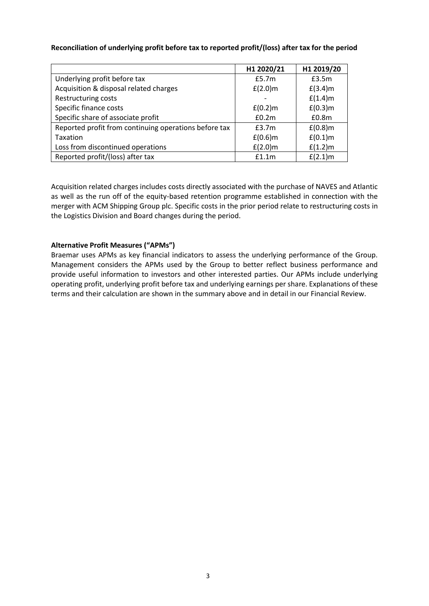## **Reconciliation of underlying profit before tax to reported profit/(loss) after tax for the period**

|                                                       | H1 2020/21 | H1 2019/20        |
|-------------------------------------------------------|------------|-------------------|
| Underlying profit before tax                          | £5.7m      | f3.5m             |
| Acquisition & disposal related charges                | $f(2.0)$ m | $f(3.4)$ m        |
| <b>Restructuring costs</b>                            |            | $f(1.4)$ m        |
| Specific finance costs                                | $f(0.2)$ m | $f(0.3)$ m        |
| Specific share of associate profit                    | £0.2m      | £0.8 <sub>m</sub> |
| Reported profit from continuing operations before tax | £3.7m      | $f(0.8)$ m        |
| Taxation                                              | $f(0.6)$ m | $f(0.1)$ m        |
| Loss from discontinued operations                     | $f(2.0)$ m | $f(1.2)$ m        |
| Reported profit/(loss) after tax                      | f1.1m      | $f(2.1)$ m        |

Acquisition related charges includes costs directly associated with the purchase of NAVES and Atlantic as well as the run off of the equity-based retention programme established in connection with the merger with ACM Shipping Group plc. Specific costs in the prior period relate to restructuring costs in the Logistics Division and Board changes during the period.

## **Alternative Profit Measures ("APMs")**

Braemar uses APMs as key financial indicators to assess the underlying performance of the Group. Management considers the APMs used by the Group to better reflect business performance and provide useful information to investors and other interested parties. Our APMs include underlying operating profit, underlying profit before tax and underlying earnings per share. Explanations of these terms and their calculation are shown in the summary above and in detail in our Financial Review.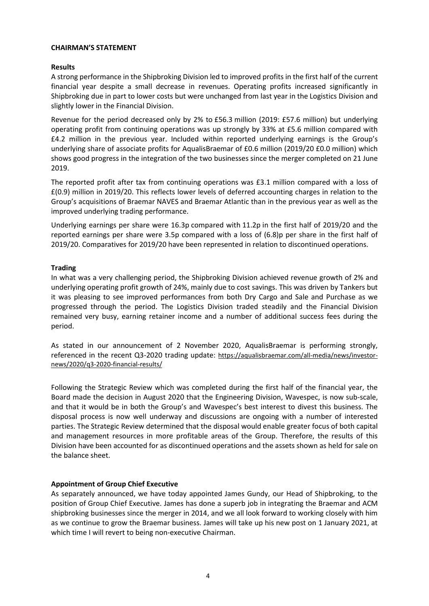## **CHAIRMAN'S STATEMENT**

## **Results**

A strong performance in the Shipbroking Division led to improved profits in the first half of the current financial year despite a small decrease in revenues. Operating profits increased significantly in Shipbroking due in part to lower costs but were unchanged from last year in the Logistics Division and slightly lower in the Financial Division.

Revenue for the period decreased only by 2% to £56.3 million (2019: £57.6 million) but underlying operating profit from continuing operations was up strongly by 33% at £5.6 million compared with £4.2 million in the previous year. Included within reported underlying earnings is the Group's underlying share of associate profits for AqualisBraemar of £0.6 million (2019/20 £0.0 million) which shows good progress in the integration of the two businesses since the merger completed on 21 June 2019.

The reported profit after tax from continuing operations was £3.1 million compared with a loss of £(0.9) million in 2019/20. This reflects lower levels of deferred accounting charges in relation to the Group's acquisitions of Braemar NAVES and Braemar Atlantic than in the previous year as well as the improved underlying trading performance.

Underlying earnings per share were 16.3p compared with 11.2p in the first half of 2019/20 and the reported earnings per share were 3.5p compared with a loss of (6.8)p per share in the first half of 2019/20. Comparatives for 2019/20 have been represented in relation to discontinued operations.

### **Trading**

In what was a very challenging period, the Shipbroking Division achieved revenue growth of 2% and underlying operating profit growth of 24%, mainly due to cost savings. This was driven by Tankers but it was pleasing to see improved performances from both Dry Cargo and Sale and Purchase as we progressed through the period. The Logistics Division traded steadily and the Financial Division remained very busy, earning retainer income and a number of additional success fees during the period.

As stated in our announcement of 2 November 2020, AqualisBraemar is performing strongly, referenced in the recent Q3-2020 trading update: https://aqualisbraemar.com/all-media/news/investornews/2020/q3-2020-financial-results/

Following the Strategic Review which was completed during the first half of the financial year, the Board made the decision in August 2020 that the Engineering Division, Wavespec, is now sub-scale, and that it would be in both the Group's and Wavespec's best interest to divest this business. The disposal process is now well underway and discussions are ongoing with a number of interested parties. The Strategic Review determined that the disposal would enable greater focus of both capital and management resources in more profitable areas of the Group. Therefore, the results of this Division have been accounted for as discontinued operations and the assets shown as held for sale on the balance sheet.

## **Appointment of Group Chief Executive**

As separately announced, we have today appointed James Gundy, our Head of Shipbroking, to the position of Group Chief Executive. James has done a superb job in integrating the Braemar and ACM shipbroking businesses since the merger in 2014, and we all look forward to working closely with him as we continue to grow the Braemar business. James will take up his new post on 1 January 2021, at which time I will revert to being non-executive Chairman.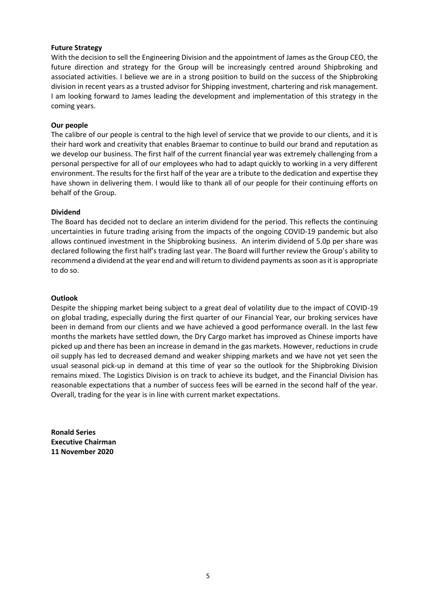## **Future Strategy**

With the decision to sell the Engineering Division and the appointment of James as the Group CEO, the future direction and strategy for the Group will be increasingly centred around Shipbroking and associated activities. I believe we are in a strong position to build on the success of the Shipbroking division in recent years as a trusted advisor for Shipping investment, chartering and risk management. I am looking forward to James leading the development and implementation of this strategy in the coming years.

## **Our people**

The calibre of our people is central to the high level of service that we provide to our clients, and it is their hard work and creativity that enables Braemar to continue to build our brand and reputation as we develop our business. The first half of the current financial year was extremely challenging from a personal perspective for all of our employees who had to adapt quickly to working in a very different environment. The results for the first half of the year are a tribute to the dedication and expertise they have shown in delivering them. I would like to thank all of our people for their continuing efforts on behalf of the Group.

### **Dividend**

The Board has decided not to declare an interim dividend for the period. This reflects the continuing uncertainties in future trading arising from the impacts of the ongoing COVID-19 pandemic but also allows continued investment in the Shipbroking business. An interim dividend of 5.0p per share was declared following the first half's trading last year. The Board will further review the Group's ability to recommend a dividend at the year end and will return to dividend payments as soon as it is appropriate to do so.

### **Outlook**

Despite the shipping market being subject to a great deal of volatility due to the impact of COVID-19 on global trading, especially during the first quarter of our Financial Year, our broking services have been in demand from our clients and we have achieved a good performance overall. In the last few months the markets have settled down, the Dry Cargo market has improved as Chinese imports have picked up and there has been an increase in demand in the gas markets. However, reductions in crude oil supply has led to decreased demand and weaker shipping markets and we have not yet seen the usual seasonal pick-up in demand at this time of year so the outlook for the Shipbroking Division remains mixed. The Logistics Division is on track to achieve its budget, and the Financial Division has reasonable expectations that a number of success fees will be earned in the second half of the year. Overall, trading for the year is in line with current market expectations.

**Ronald Series Executive Chairman 11 November 2020**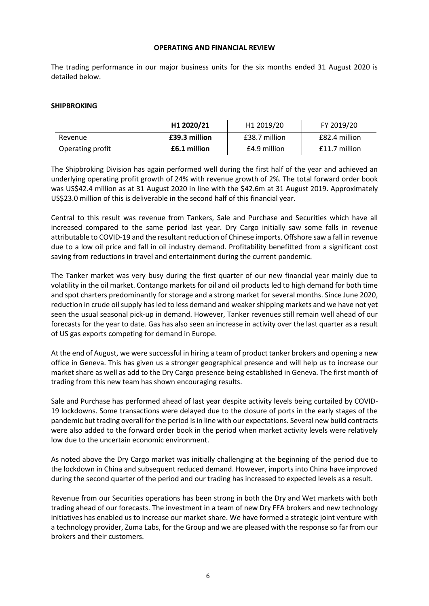#### **OPERATING AND FINANCIAL REVIEW**

The trading performance in our major business units for the six months ended 31 August 2020 is detailed below.

#### **SHIPBROKING**

|                  | H1 2020/21    | H1 2019/20    | FY 2019/20      |
|------------------|---------------|---------------|-----------------|
| Revenue          | £39.3 million | £38.7 million | £82.4 million   |
| Operating profit | £6.1 million  | £4.9 million  | $£11.7$ million |

The Shipbroking Division has again performed well during the first half of the year and achieved an underlying operating profit growth of 24% with revenue growth of 2%. The total forward order book was US\$42.4 million as at 31 August 2020 in line with the \$42.6m at 31 August 2019. Approximately US\$23.0 million of this is deliverable in the second half of this financial year.

Central to this result was revenue from Tankers, Sale and Purchase and Securities which have all increased compared to the same period last year. Dry Cargo initially saw some falls in revenue attributable to COVID-19 and the resultant reduction of Chinese imports. Offshore saw a fall in revenue due to a low oil price and fall in oil industry demand. Profitability benefitted from a significant cost saving from reductions in travel and entertainment during the current pandemic.

The Tanker market was very busy during the first quarter of our new financial year mainly due to volatility in the oil market. Contango markets for oil and oil products led to high demand for both time and spot charters predominantly for storage and a strong market for several months. Since June 2020, reduction in crude oil supply has led to less demand and weaker shipping markets and we have not yet seen the usual seasonal pick-up in demand. However, Tanker revenues still remain well ahead of our forecasts for the year to date. Gas has also seen an increase in activity over the last quarter as a result of US gas exports competing for demand in Europe.

At the end of August, we were successful in hiring a team of product tanker brokers and opening a new office in Geneva. This has given us a stronger geographical presence and will help us to increase our market share as well as add to the Dry Cargo presence being established in Geneva. The first month of trading from this new team has shown encouraging results.

Sale and Purchase has performed ahead of last year despite activity levels being curtailed by COVID-19 lockdowns. Some transactions were delayed due to the closure of ports in the early stages of the pandemic but trading overall for the period is in line with our expectations. Several new build contracts were also added to the forward order book in the period when market activity levels were relatively low due to the uncertain economic environment.

As noted above the Dry Cargo market was initially challenging at the beginning of the period due to the lockdown in China and subsequent reduced demand. However, imports into China have improved during the second quarter of the period and our trading has increased to expected levels as a result.

Revenue from our Securities operations has been strong in both the Dry and Wet markets with both trading ahead of our forecasts. The investment in a team of new Dry FFA brokers and new technology initiatives has enabled us to increase our market share. We have formed a strategic joint venture with a technology provider, Zuma Labs, for the Group and we are pleased with the response so far from our brokers and their customers.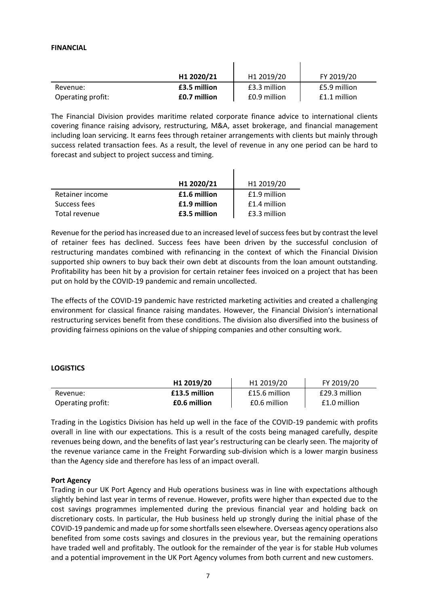#### **FINANCIAL**

|                   | H1 2020/21   | H1 2019/20   | FY 2019/20     |
|-------------------|--------------|--------------|----------------|
| Revenue:          | £3.5 million | £3.3 million | £5.9 million   |
| Operating profit: | £0.7 million | £0.9 million | $f1.1$ million |

The Financial Division provides maritime related corporate finance advice to international clients covering finance raising advisory, restructuring, M&A, asset brokerage, and financial management including loan servicing. It earns fees through retainer arrangements with clients but mainly through success related transaction fees. As a result, the level of revenue in any one period can be hard to forecast and subject to project success and timing.

 $\mathbf{I}$ 

|                 | H1 2020/21   | H1 2019/20   |
|-----------------|--------------|--------------|
| Retainer income | £1.6 million | £1.9 million |
| Success fees    | £1.9 million | £1.4 million |
| Total revenue   | £3.5 million | £3.3 million |

Revenue for the period has increased due to an increased level of success fees but by contrast the level of retainer fees has declined. Success fees have been driven by the successful conclusion of restructuring mandates combined with refinancing in the context of which the Financial Division supported ship owners to buy back their own debt at discounts from the loan amount outstanding. Profitability has been hit by a provision for certain retainer fees invoiced on a project that has been put on hold by the COVID-19 pandemic and remain uncollected.

The effects of the COVID-19 pandemic have restricted marketing activities and created a challenging environment for classical finance raising mandates. However, the Financial Division's international restructuring services benefit from these conditions. The division also diversified into the business of providing fairness opinions on the value of shipping companies and other consulting work.

### **LOGISTICS**

|                   | H <sub>1</sub> 2019/20 | H <sub>1</sub> 2019/20 | FY 2019/20    |
|-------------------|------------------------|------------------------|---------------|
| Revenue:          | £13.5 million          | £15.6 million          | £29.3 million |
| Operating profit: | £0.6 million           | £0.6 million           | £1.0 million  |

Trading in the Logistics Division has held up well in the face of the COVID-19 pandemic with profits overall in line with our expectations. This is a result of the costs being managed carefully, despite revenues being down, and the benefits of last year's restructuring can be clearly seen. The majority of the revenue variance came in the Freight Forwarding sub-division which is a lower margin business than the Agency side and therefore has less of an impact overall.

### **Port Agency**

Trading in our UK Port Agency and Hub operations business was in line with expectations although slightly behind last year in terms of revenue. However, profits were higher than expected due to the cost savings programmes implemented during the previous financial year and holding back on discretionary costs. In particular, the Hub business held up strongly during the initial phase of the COVID-19 pandemic and made up for some shortfalls seen elsewhere. Overseas agency operations also benefited from some costs savings and closures in the previous year, but the remaining operations have traded well and profitably. The outlook for the remainder of the year is for stable Hub volumes and a potential improvement in the UK Port Agency volumes from both current and new customers.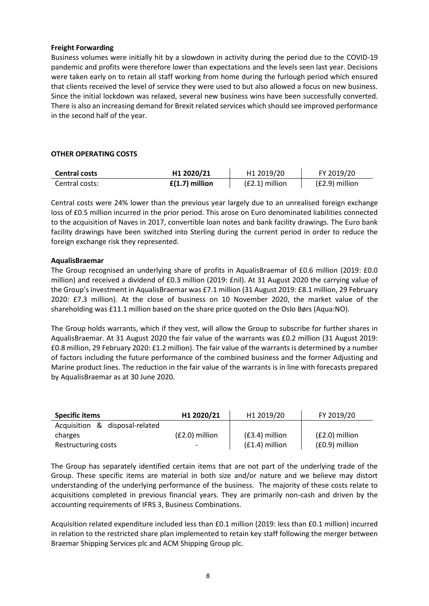## **Freight Forwarding**

Business volumes were initially hit by a slowdown in activity during the period due to the COVID-19 pandemic and profits were therefore lower than expectations and the levels seen last year. Decisions were taken early on to retain all staff working from home during the furlough period which ensured that clients received the level of service they were used to but also allowed a focus on new business. Since the initial lockdown was relaxed, several new business wins have been successfully converted. There is also an increasing demand for Brexit related services which should see improved performance in the second half of the year.

## **OTHER OPERATING COSTS**

| Central costs  | H1 2020/21       | H <sub>1</sub> 2019/20 | FY 2019/20       |
|----------------|------------------|------------------------|------------------|
| Central costs: | $f(1.7)$ million | $(E2.1)$ million       | $(E2.9)$ million |

Central costs were 24% lower than the previous year largely due to an unrealised foreign exchange loss of £0.5 million incurred in the prior period. This arose on Euro denominated liabilities connected to the acquisition of Naves in 2017, convertible loan notes and bank facility drawings. The Euro bank facility drawings have been switched into Sterling during the current period in order to reduce the foreign exchange risk they represented.

## **AqualisBraemar**

The Group recognised an underlying share of profits in AqualisBraemar of £0.6 million (2019: £0.0 million) and received a dividend of £0.3 million (2019: £nil). At 31 August 2020 the carrying value of the Group's investment in AqualisBraemar was £7.1 million (31 August 2019: £8.1 million, 29 February 2020: £7.3 million). At the close of business on 10 November 2020, the market value of the shareholding was £11.1 million based on the share price quoted on the Oslo Børs (Aqua:NO).

The Group holds warrants, which if they vest, will allow the Group to subscribe for further shares in AqualisBraemar. At 31 August 2020 the fair value of the warrants was £0.2 million (31 August 2019: £0.8 million, 29 February 2020: £1.2 million). The fair value of the warrants is determined by a number of factors including the future performance of the combined business and the former Adjusting and Marine product lines. The reduction in the fair value of the warrants is in line with forecasts prepared by AqualisBraemar as at 30 June 2020.

| <b>Specific items</b>          | H1 2020/21       | H1 2019/20       | FY 2019/20       |
|--------------------------------|------------------|------------------|------------------|
| Acquisition & disposal-related |                  |                  |                  |
| charges                        | $(E2.0)$ million | $(E3.4)$ million | $(E2.0)$ million |
| Restructuring costs            |                  | $(E1.4)$ million | (£0.9) million   |

The Group has separately identified certain items that are not part of the underlying trade of the Group. These specific items are material in both size and/or nature and we believe may distort understanding of the underlying performance of the business. The majority of these costs relate to acquisitions completed in previous financial years. They are primarily non-cash and driven by the accounting requirements of IFRS 3, Business Combinations.

Acquisition related expenditure included less than £0.1 million (2019: less than £0.1 million) incurred in relation to the restricted share plan implemented to retain key staff following the merger between Braemar Shipping Services plc and ACM Shipping Group plc.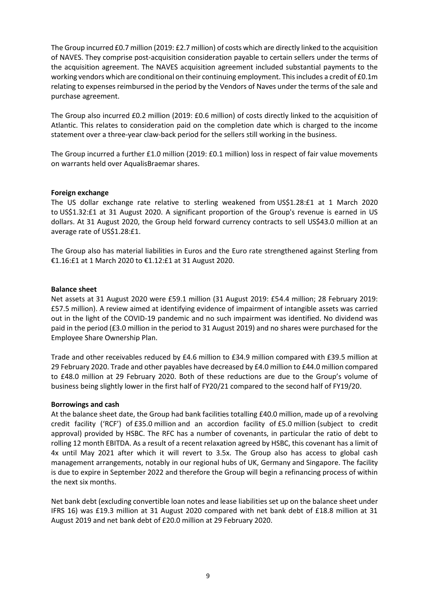The Group incurred £0.7 million (2019: £2.7 million) of costs which are directly linked to the acquisition of NAVES. They comprise post-acquisition consideration payable to certain sellers under the terms of the acquisition agreement. The NAVES acquisition agreement included substantial payments to the working vendors which are conditional on their continuing employment. This includes a credit of £0.1m relating to expenses reimbursed in the period by the Vendors of Naves under the terms of the sale and purchase agreement.

The Group also incurred £0.2 million (2019: £0.6 million) of costs directly linked to the acquisition of Atlantic. This relates to consideration paid on the completion date which is charged to the income statement over a three-year claw-back period for the sellers still working in the business.

The Group incurred a further £1.0 million (2019: £0.1 million) loss in respect of fair value movements on warrants held over AqualisBraemar shares.

#### **Foreign exchange**

The US dollar exchange rate relative to sterling weakened from US\$1.28:£1 at 1 March 2020 to US\$1.32:£1 at 31 August 2020. A significant proportion of the Group's revenue is earned in US dollars. At 31 August 2020, the Group held forward currency contracts to sell US\$43.0 million at an average rate of US\$1.28:£1.

The Group also has material liabilities in Euros and the Euro rate strengthened against Sterling from €1.16:£1 at 1 March 2020 to €1.12:£1 at 31 August 2020.

#### **Balance sheet**

Net assets at 31 August 2020 were £59.1 million (31 August 2019: £54.4 million; 28 February 2019: £57.5 million). A review aimed at identifying evidence of impairment of intangible assets was carried out in the light of the COVID-19 pandemic and no such impairment was identified. No dividend was paid in the period (£3.0 million in the period to 31 August 2019) and no shares were purchased for the Employee Share Ownership Plan.

Trade and other receivables reduced by £4.6 million to £34.9 million compared with £39.5 million at 29 February 2020. Trade and other payables have decreased by £4.0 million to £44.0 million compared to £48.0 million at 29 February 2020. Both of these reductions are due to the Group's volume of business being slightly lower in the first half of FY20/21 compared to the second half of FY19/20.

#### **Borrowings and cash**

At the balance sheet date, the Group had bank facilities totalling £40.0 million, made up of a revolving credit facility ('RCF') of £35.0 million and an accordion facility of £5.0 million (subject to credit approval) provided by HSBC. The RFC has a number of covenants, in particular the ratio of debt to rolling 12 month EBITDA. As a result of a recent relaxation agreed by HSBC, this covenant has a limit of 4x until May 2021 after which it will revert to 3.5x. The Group also has access to global cash management arrangements, notably in our regional hubs of UK, Germany and Singapore. The facility is due to expire in September 2022 and therefore the Group will begin a refinancing process of within the next six months.

Net bank debt (excluding convertible loan notes and lease liabilities set up on the balance sheet under IFRS 16) was £19.3 million at 31 August 2020 compared with net bank debt of £18.8 million at 31 August 2019 and net bank debt of £20.0 million at 29 February 2020.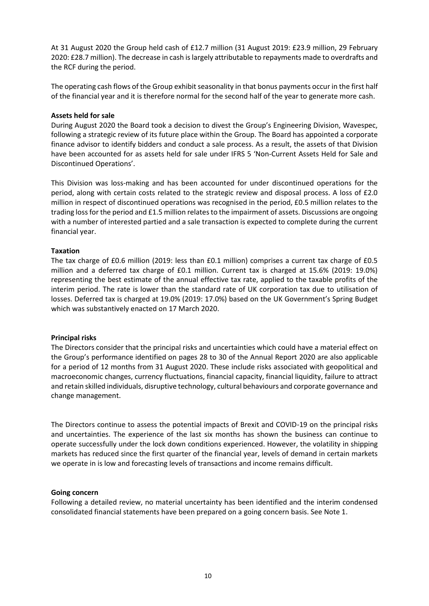At 31 August 2020 the Group held cash of £12.7 million (31 August 2019: £23.9 million, 29 February 2020: £28.7 million). The decrease in cash is largely attributable to repayments made to overdrafts and the RCF during the period.

The operating cash flows of the Group exhibit seasonality in that bonus payments occur in the first half of the financial year and it is therefore normal for the second half of the year to generate more cash.

### **Assets held for sale**

During August 2020 the Board took a decision to divest the Group's Engineering Division, Wavespec, following a strategic review of its future place within the Group. The Board has appointed a corporate finance advisor to identify bidders and conduct a sale process. As a result, the assets of that Division have been accounted for as assets held for sale under IFRS 5 'Non-Current Assets Held for Sale and Discontinued Operations'.

This Division was loss-making and has been accounted for under discontinued operations for the period, along with certain costs related to the strategic review and disposal process. A loss of £2.0 million in respect of discontinued operations was recognised in the period, £0.5 million relates to the trading loss for the period and £1.5 million relates to the impairment of assets. Discussions are ongoing with a number of interested partied and a sale transaction is expected to complete during the current financial year.

#### **Taxation**

The tax charge of £0.6 million (2019: less than £0.1 million) comprises a current tax charge of £0.5 million and a deferred tax charge of £0.1 million. Current tax is charged at 15.6% (2019: 19.0%) representing the best estimate of the annual effective tax rate, applied to the taxable profits of the interim period. The rate is lower than the standard rate of UK corporation tax due to utilisation of losses. Deferred tax is charged at 19.0% (2019: 17.0%) based on the UK Government's Spring Budget which was substantively enacted on 17 March 2020.

#### **Principal risks**

The Directors consider that the principal risks and uncertainties which could have a material effect on the Group's performance identified on pages 28 to 30 of the Annual Report 2020 are also applicable for a period of 12 months from 31 August 2020. These include risks associated with geopolitical and macroeconomic changes, currency fluctuations, financial capacity, financial liquidity, failure to attract and retain skilled individuals, disruptive technology, cultural behaviours and corporate governance and change management.

The Directors continue to assess the potential impacts of Brexit and COVID-19 on the principal risks and uncertainties. The experience of the last six months has shown the business can continue to operate successfully under the lock down conditions experienced. However, the volatility in shipping markets has reduced since the first quarter of the financial year, levels of demand in certain markets we operate in is low and forecasting levels of transactions and income remains difficult.

#### **Going concern**

Following a detailed review, no material uncertainty has been identified and the interim condensed consolidated financial statements have been prepared on a going concern basis. See Note 1.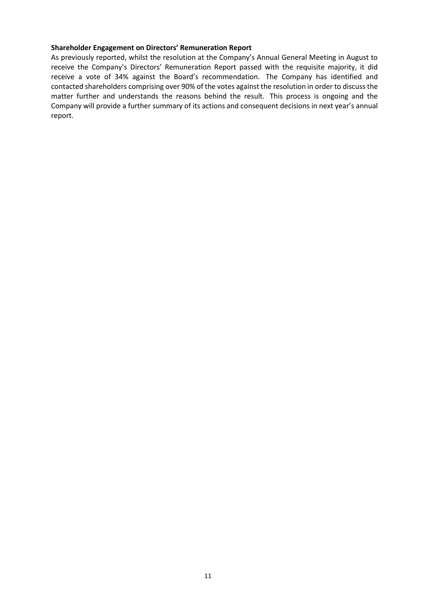#### **Shareholder Engagement on Directors' Remuneration Report**

As previously reported, whilst the resolution at the Company's Annual General Meeting in August to receive the Company's Directors' Remuneration Report passed with the requisite majority, it did receive a vote of 34% against the Board's recommendation. The Company has identified and contacted shareholders comprising over 90% of the votes against the resolution in order to discuss the matter further and understands the reasons behind the result. This process is ongoing and the Company will provide a further summary of its actions and consequent decisions in next year's annual report.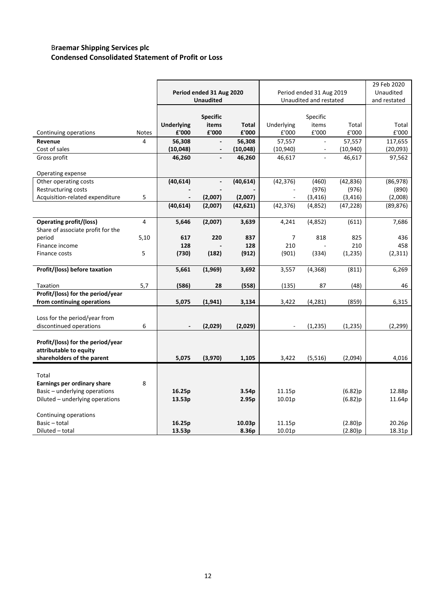## B**raemar Shipping Services plc Condensed Consolidated Statement of Profit or Loss**

|                                   |                |                   |                          |                |            |                          |           | 29 Feb 2020  |
|-----------------------------------|----------------|-------------------|--------------------------|----------------|------------|--------------------------|-----------|--------------|
|                                   |                |                   | Period ended 31 Aug 2020 |                |            | Period ended 31 Aug 2019 |           | Unaudited    |
|                                   |                |                   | <b>Unaudited</b>         |                |            | Unaudited and restated   |           | and restated |
|                                   |                |                   |                          |                |            |                          |           |              |
|                                   |                |                   | <b>Specific</b>          |                |            | Specific                 |           |              |
|                                   |                | <b>Underlying</b> | items                    | <b>Total</b>   | Underlying | items                    | Total     | Total        |
| Continuing operations             | Notes          | £'000             | £'000                    | ${\bf f}$ '000 | £'000      | £'000                    | £'000     | £'000        |
| Revenue                           | 4              | 56,308            |                          | 56,308         | 57,557     |                          | 57,557    | 117,655      |
| Cost of sales                     |                | (10, 048)         |                          | (10, 048)      | (10, 940)  |                          | (10, 940) | (20,093)     |
| Gross profit                      |                | 46,260            | $\overline{\phantom{0}}$ | 46,260         | 46,617     |                          | 46,617    | 97,562       |
|                                   |                |                   |                          |                |            |                          |           |              |
| Operating expense                 |                |                   |                          |                |            |                          |           |              |
| Other operating costs             |                | (40, 614)         | $\overline{\phantom{0}}$ | (40, 614)      | (42, 376)  | (460)                    | (42, 836) | (86,978)     |
| Restructuring costs               |                |                   |                          |                |            | (976)                    | (976)     | (890)        |
| Acquisition-related expenditure   | 5              |                   | (2,007)                  | (2,007)        |            | (3, 416)                 | (3, 416)  | (2,008)      |
|                                   |                | (40, 614)         | (2,007)                  | (42, 621)      | (42, 376)  | (4,852)                  | (47, 228) | (89, 876)    |
|                                   |                |                   |                          |                |            |                          |           |              |
| <b>Operating profit/(loss)</b>    | $\overline{4}$ | 5,646             | (2,007)                  | 3,639          | 4,241      | (4,852)                  | (611)     | 7,686        |
| Share of associate profit for the |                |                   |                          |                |            |                          |           |              |
| period                            | 5,10           | 617               | 220                      | 837            | 7          | 818                      | 825       | 436          |
| Finance income                    |                | 128               |                          | 128            | 210        |                          | 210       | 458          |
| Finance costs                     | 5              | (730)             | (182)                    | (912)          | (901)      | (334)                    | (1, 235)  | (2, 311)     |
|                                   |                |                   |                          |                |            |                          |           |              |
| Profit/(loss) before taxation     |                | 5,661             | (1,969)                  | 3,692          | 3,557      | (4, 368)                 | (811)     | 6,269        |
| Taxation                          | 5,7            | (586)             | 28                       | (558)          | (135)      | 87                       | (48)      | 46           |
| Profit/(loss) for the period/year |                |                   |                          |                |            |                          |           |              |
| from continuing operations        |                | 5,075             | (1, 941)                 | 3,134          | 3,422      | (4, 281)                 | (859)     | 6,315        |
|                                   |                |                   |                          |                |            |                          |           |              |
| Loss for the period/year from     |                |                   |                          |                |            |                          |           |              |
| discontinued operations           | 6              |                   | (2,029)                  | (2,029)        |            | (1, 235)                 | (1, 235)  | (2, 299)     |
|                                   |                |                   |                          |                |            |                          |           |              |
| Profit/(loss) for the period/year |                |                   |                          |                |            |                          |           |              |
| attributable to equity            |                |                   |                          |                |            |                          |           |              |
| shareholders of the parent        |                | 5,075             | (3,970)                  | 1,105          | 3,422      | (5, 516)                 | (2,094)   | 4,016        |
|                                   |                |                   |                          |                |            |                          |           |              |
| Total                             |                |                   |                          |                |            |                          |           |              |
| Earnings per ordinary share       | 8              |                   |                          |                |            |                          |           |              |
| Basic - underlying operations     |                | 16.25p            |                          | 3.54p          | 11.15p     |                          | (6.82)p   | 12.88p       |
| Diluted - underlying operations   |                | 13.53p            |                          | 2.95p          | 10.01p     |                          | (6.82)p   | 11.64p       |
|                                   |                |                   |                          |                |            |                          |           |              |
| Continuing operations             |                |                   |                          |                |            |                          |           |              |
| Basic - total                     |                | 16.25p            |                          | 10.03p         | 11.15p     |                          | (2.80)p   | 20.26p       |
| Diluted - total                   |                | 13.53p            |                          | 8.36p          | 10.01p     |                          | (2.80)p   | 18.31p       |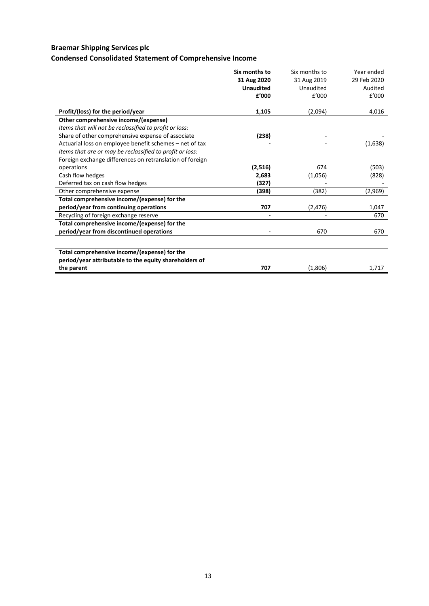# **Braemar Shipping Services plc**

# **Condensed Consolidated Statement of Comprehensive Income**

|                                                          | Six months to<br>31 Aug 2020<br><b>Unaudited</b> | Six months to<br>31 Aug 2019<br>Unaudited | Year ended<br>29 Feb 2020<br>Audited |
|----------------------------------------------------------|--------------------------------------------------|-------------------------------------------|--------------------------------------|
|                                                          | £'000                                            | f'000                                     | £'000                                |
| Profit/(loss) for the period/year                        | 1,105                                            | (2,094)                                   | 4,016                                |
| Other comprehensive income/(expense)                     |                                                  |                                           |                                      |
| Items that will not be reclassified to profit or loss:   |                                                  |                                           |                                      |
| Share of other comprehensive expense of associate        | (238)                                            |                                           |                                      |
| Actuarial loss on employee benefit schemes – net of tax  |                                                  |                                           | (1,638)                              |
| Items that are or may be reclassified to profit or loss: |                                                  |                                           |                                      |
| Foreign exchange differences on retranslation of foreign |                                                  |                                           |                                      |
| operations                                               | (2,516)                                          | 674                                       | (503)                                |
| Cash flow hedges                                         | 2,683                                            | (1,056)                                   | (828)                                |
| Deferred tax on cash flow hedges                         | (327)                                            |                                           |                                      |
| Other comprehensive expense                              | (398)                                            | (382)                                     | (2,969)                              |
| Total comprehensive income/(expense) for the             |                                                  |                                           |                                      |
| period/year from continuing operations                   | 707                                              | (2, 476)                                  | 1,047                                |
| Recycling of foreign exchange reserve                    |                                                  |                                           | 670                                  |
| Total comprehensive income/(expense) for the             |                                                  |                                           |                                      |
| period/year from discontinued operations                 |                                                  | 670                                       | 670                                  |
|                                                          |                                                  |                                           |                                      |
| Total comprehensive income/(expense) for the             |                                                  |                                           |                                      |
| period/year attributable to the equity shareholders of   |                                                  |                                           |                                      |
| the parent                                               | 707                                              | (1,806)                                   | 1,717                                |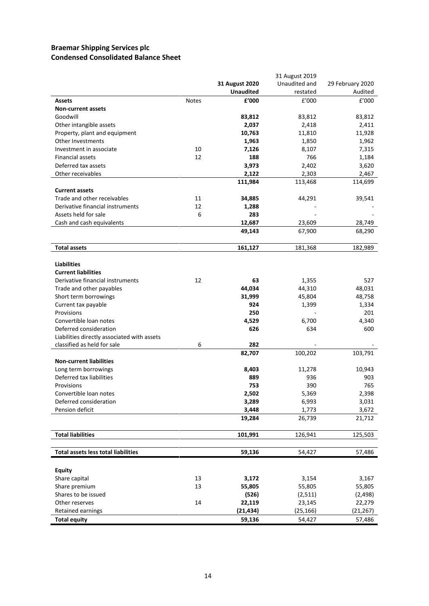## **Braemar Shipping Services plc Condensed Consolidated Balance Sheet**

|                                             |              |                  | 31 August 2019 |                  |
|---------------------------------------------|--------------|------------------|----------------|------------------|
|                                             |              | 31 August 2020   | Unaudited and  | 29 February 2020 |
|                                             |              | <b>Unaudited</b> | restated       | Audited          |
| Assets                                      | <b>Notes</b> | £'000            | f'000          | £'000            |
| <b>Non-current assets</b>                   |              |                  |                |                  |
| Goodwill                                    |              | 83,812           | 83,812         | 83,812           |
| Other intangible assets                     |              | 2,037            | 2,418          | 2,411            |
| Property, plant and equipment               |              | 10,763           | 11,810         | 11,928           |
| Other Investments                           |              | 1,963            | 1,850          | 1,962            |
| Investment in associate                     | 10           | 7,126            | 8,107          | 7,315            |
| <b>Financial assets</b>                     | 12           | 188              | 766            | 1,184            |
| Deferred tax assets                         |              | 3,973            | 2,402          | 3,620            |
| Other receivables                           |              | 2,122            | 2,303          | 2,467            |
|                                             |              | 111,984          | 113,468        | 114,699          |
| <b>Current assets</b>                       |              |                  |                |                  |
| Trade and other receivables                 | 11           | 34,885           | 44,291         | 39,541           |
| Derivative financial instruments            | 12           | 1,288            |                |                  |
| Assets held for sale                        | 6            | 283              |                |                  |
| Cash and cash equivalents                   |              | 12,687           | 23,609         | 28,749           |
|                                             |              | 49,143           | 67,900         | 68,290           |
|                                             |              |                  |                |                  |
| <b>Total assets</b>                         |              | 161,127          | 181,368        | 182,989          |
|                                             |              |                  |                |                  |
| <b>Liabilities</b>                          |              |                  |                |                  |
| <b>Current liabilities</b>                  |              |                  |                |                  |
| Derivative financial instruments            | 12           | 63               | 1,355          | 527              |
| Trade and other payables                    |              | 44,034           | 44,310         | 48,031           |
| Short term borrowings                       |              | 31,999           | 45,804         | 48,758           |
| Current tax payable                         |              | 924              | 1,399          | 1,334            |
| Provisions                                  |              | 250              |                | 201              |
| Convertible loan notes                      |              | 4,529            | 6,700          | 4,340            |
| Deferred consideration                      |              | 626              | 634            | 600              |
| Liabilities directly associated with assets |              |                  |                |                  |
| classified as held for sale                 | 6            | 282              |                |                  |
|                                             |              | 82,707           | 100,202        | 103,791          |
| <b>Non-current liabilities</b>              |              |                  |                |                  |
| Long term borrowings                        |              | 8,403            | 11,278         | 10,943           |
| Deferred tax liabilities                    |              | 889              | 936            | 903              |
| Provisions                                  |              | 753              | 390            | 765              |
| Convertible loan notes                      |              | 2,502            | 5,369          | 2,398            |
| Deferred consideration                      |              | 3,289            | 6,993          | 3,031            |
| Pension deficit                             |              | 3,448            | 1,773          | 3,672            |
|                                             |              | 19,284           | 26,739         | 21,712           |
|                                             |              |                  |                |                  |
| <b>Total liabilities</b>                    |              | 101,991          | 126,941        | 125,503          |
|                                             |              |                  |                |                  |
| <b>Total assets less total liabilities</b>  |              |                  |                |                  |
|                                             |              | 59,136           | 54,427         | 57,486           |
|                                             |              |                  |                |                  |
| <b>Equity</b>                               |              |                  |                |                  |
| Share capital                               | 13           | 3,172            | 3,154          | 3,167            |
| Share premium                               | 13           | 55,805           | 55,805         | 55,805           |
| Shares to be issued                         |              | (526)            | (2,511)        | (2, 498)         |
| Other reserves                              | 14           | 22,119           | 23,145         | 22,279           |
| Retained earnings                           |              | (21, 434)        | (25, 166)      | (21, 267)        |
| <b>Total equity</b>                         |              | 59,136           | 54,427         | 57,486           |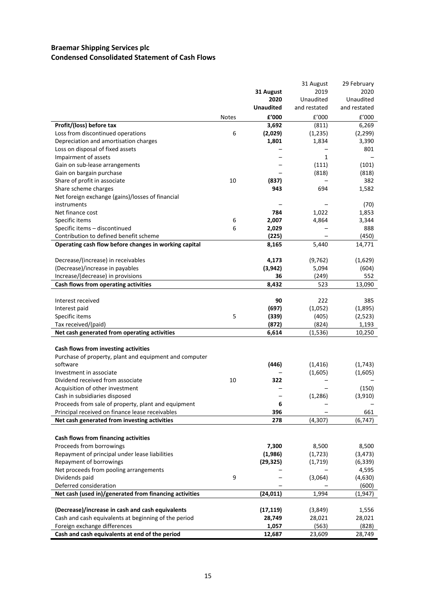## **Braemar Shipping Services plc Condensed Consolidated Statement of Cash Flows**

|                                                        |              |                  | 31 August    | 29 February  |
|--------------------------------------------------------|--------------|------------------|--------------|--------------|
|                                                        |              | 31 August        | 2019         | 2020         |
|                                                        |              | 2020             | Unaudited    | Unaudited    |
|                                                        |              | <b>Unaudited</b> | and restated | and restated |
|                                                        | <b>Notes</b> | £'000            | E'000        | £'000        |
| Profit/(loss) before tax                               |              | 3,692            | (811)        | 6,269        |
| Loss from discontinued operations                      | 6            | (2,029)          | (1,235)      | (2, 299)     |
| Depreciation and amortisation charges                  |              | 1,801            | 1,834        | 3,390        |
| Loss on disposal of fixed assets                       |              |                  |              | 801          |
| Impairment of assets                                   |              |                  | $\mathbf{1}$ |              |
| Gain on sub-lease arrangements                         |              |                  | (111)        | (101)        |
| Gain on bargain purchase                               |              |                  | (818)        | (818)        |
| Share of profit in associate                           | 10           | (837)            |              | 382          |
| Share scheme charges                                   |              | 943              | 694          | 1,582        |
| Net foreign exchange (gains)/losses of financial       |              |                  |              |              |
| instruments                                            |              |                  |              | (70)         |
| Net finance cost                                       |              | 784              | 1,022        | 1,853        |
| Specific items                                         | 6            | 2,007            | 4,864        | 3,344        |
| Specific items - discontinued                          | 6            | 2,029            |              | 888          |
| Contribution to defined benefit scheme                 |              | (225)            |              | (450)        |
| Operating cash flow before changes in working capital  |              | 8,165            | 5,440        | 14,771       |
|                                                        |              |                  |              |              |
| Decrease/(increase) in receivables                     |              | 4,173            | (9, 762)     | (1,629)      |
| (Decrease)/increase in payables                        |              | (3, 942)         | 5,094        | (604)        |
| Increase/(decrease) in provisions                      |              | 36               | (249)        | 552          |
| Cash flows from operating activities                   |              | 8,432            | 523          | 13,090       |
|                                                        |              |                  |              |              |
| Interest received                                      |              | 90               | 222          | 385          |
| Interest paid                                          |              | (697)            | (1,052)      | (1,895)      |
| Specific items                                         | 5            | (339)            | (405)        | (2, 523)     |
| Tax received/(paid)                                    |              | (872)            | (824)        | 1,193        |
| Net cash generated from operating activities           |              | 6,614            | (1, 536)     | 10,250       |
|                                                        |              |                  |              |              |
| Cash flows from investing activities                   |              |                  |              |              |
| Purchase of property, plant and equipment and computer |              |                  |              |              |
| software                                               |              | (446)            | (1, 416)     | (1,743)      |
| Investment in associate                                |              |                  | (1,605)      | (1,605)      |
| Dividend received from associate                       | 10           | 322              |              |              |
| Acquisition of other investment                        |              |                  |              | (150)        |
| Cash in subsidiaries disposed                          |              |                  | (1, 286)     | (3,910)      |
| Proceeds from sale of property, plant and equipment    |              | 6                |              |              |
| Principal received on finance lease receivables        |              | 396              |              | 661          |
| Net cash generated from investing activities           |              | 278              | (4, 307)     | (6, 747)     |
|                                                        |              |                  |              |              |
| Cash flows from financing activities                   |              |                  |              |              |
| Proceeds from borrowings                               |              | 7,300            | 8,500        | 8,500        |
| Repayment of principal under lease liabilities         |              | (1,986)          | (1, 723)     | (3, 473)     |
| Repayment of borrowings                                |              | (29, 325)        | (1,719)      | (6, 339)     |
| Net proceeds from pooling arrangements                 |              |                  |              | 4,595        |
| Dividends paid                                         | 9            |                  | (3,064)      | (4,630)      |
| Deferred consideration                                 |              |                  |              | (600)        |
| Net cash (used in)/generated from financing activities |              | (24, 011)        | 1,994        | (1, 947)     |
|                                                        |              |                  |              |              |
| (Decrease)/increase in cash and cash equivalents       |              | (17, 119)        | (3,849)      | 1,556        |
| Cash and cash equivalents at beginning of the period   |              | 28,749           | 28,021       | 28,021       |
| Foreign exchange differences                           |              | 1,057            | (563)        | (828)        |
| Cash and cash equivalents at end of the period         |              | 12,687           | 23,609       | 28,749       |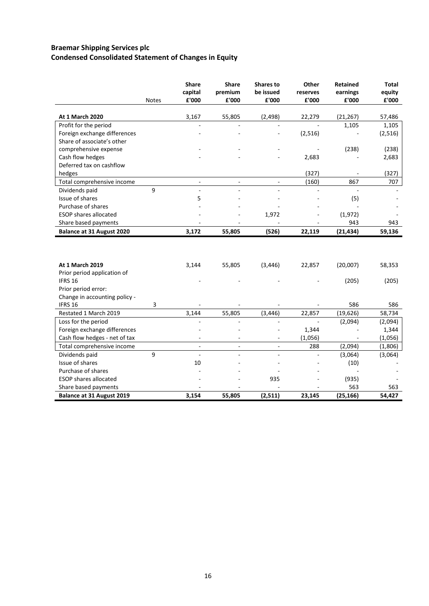## **Braemar Shipping Services plc Condensed Consolidated Statement of Changes in Equity**

|                                                               | <b>Notes</b> | <b>Share</b><br>capital<br>£'000           | <b>Share</b><br>premium<br>£'000 | <b>Shares to</b><br>be issued<br>£'000 | Other<br>reserves<br>£'000 | <b>Retained</b><br>earnings<br>£'000 | <b>Total</b><br>equity<br>£'000 |
|---------------------------------------------------------------|--------------|--------------------------------------------|----------------------------------|----------------------------------------|----------------------------|--------------------------------------|---------------------------------|
| <b>At 1 March 2020</b>                                        |              | 3,167                                      |                                  |                                        | 22,279                     |                                      |                                 |
|                                                               |              |                                            | 55,805                           | (2, 498)                               |                            | (21, 267)                            | 57,486                          |
| Profit for the period                                         |              |                                            |                                  |                                        |                            | 1,105                                | 1,105                           |
| Foreign exchange differences<br>Share of associate's other    |              |                                            |                                  |                                        | (2, 516)                   |                                      | (2,516)                         |
| comprehensive expense                                         |              |                                            |                                  |                                        |                            | (238)                                | (238)                           |
| Cash flow hedges                                              |              |                                            |                                  |                                        | 2,683                      |                                      | 2,683                           |
| Deferred tax on cashflow                                      |              |                                            |                                  |                                        |                            |                                      |                                 |
| hedges                                                        |              |                                            |                                  |                                        | (327)                      |                                      | (327)                           |
| Total comprehensive income                                    |              |                                            |                                  |                                        | (160)                      | 867                                  | 707                             |
| Dividends paid                                                | 9            |                                            |                                  |                                        |                            |                                      |                                 |
| Issue of shares                                               |              | 5                                          |                                  |                                        |                            | (5)                                  |                                 |
| Purchase of shares                                            |              |                                            |                                  |                                        |                            |                                      |                                 |
| <b>ESOP</b> shares allocated                                  |              |                                            |                                  | 1,972                                  |                            | (1,972)                              |                                 |
| Share based payments                                          |              |                                            |                                  |                                        |                            | 943                                  | 943                             |
| Balance at 31 August 2020                                     |              | 3,172                                      | 55,805                           | (526)                                  | 22,119                     | (21, 434)                            | 59,136                          |
|                                                               |              |                                            |                                  |                                        |                            |                                      |                                 |
| At 1 March 2019                                               |              | 3,144                                      | 55,805                           | (3, 446)                               | 22,857                     | (20,007)                             | 58,353                          |
| Prior period application of                                   |              |                                            |                                  |                                        |                            |                                      |                                 |
| IFRS 16                                                       |              |                                            |                                  |                                        |                            | (205)                                | (205)                           |
| Prior period error:                                           |              |                                            |                                  |                                        |                            |                                      |                                 |
| Change in accounting policy -                                 |              |                                            |                                  |                                        |                            |                                      |                                 |
| IFRS 16                                                       | 3            |                                            |                                  |                                        |                            | 586                                  | 586                             |
| Restated 1 March 2019                                         |              | 3,144                                      | 55,805                           | (3, 446)                               | 22,857                     | (19, 626)                            | 58,734                          |
| Loss for the period                                           |              |                                            |                                  |                                        |                            | (2,094)                              | (2,094)                         |
| Foreign exchange differences<br>Cash flow hedges - net of tax |              |                                            |                                  |                                        | 1,344<br>(1,056)           |                                      | 1,344<br>(1,056)                |
| Total comprehensive income                                    |              | $\overline{\phantom{a}}$<br>$\blacksquare$ |                                  | $\overline{\phantom{a}}$               | 288                        | (2,094)                              | (1,806)                         |
|                                                               | 9            | $\overline{\phantom{a}}$                   | $\overline{\phantom{a}}$         | ÷,                                     |                            |                                      |                                 |
| Dividends paid<br>Issue of shares                             |              | 10                                         |                                  |                                        |                            | (3,064)<br>(10)                      | (3,064)                         |
| Purchase of shares                                            |              |                                            |                                  |                                        |                            |                                      |                                 |
| <b>ESOP</b> shares allocated                                  |              |                                            |                                  | 935                                    |                            | (935)                                |                                 |
| Share based payments                                          |              |                                            |                                  |                                        |                            | 563                                  | 563                             |
| Balance at 31 August 2019                                     |              | 3,154                                      | 55,805                           | (2,511)                                | 23,145                     | (25, 166)                            | 54,427                          |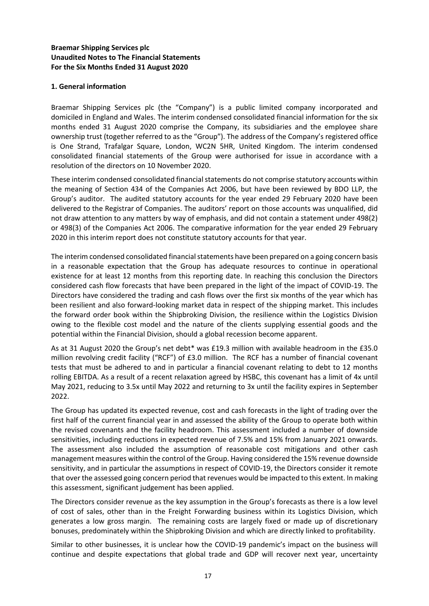## **Braemar Shipping Services plc Unaudited Notes to The Financial Statements For the Six Months Ended 31 August 2020**

## **1. General information**

Braemar Shipping Services plc (the "Company") is a public limited company incorporated and domiciled in England and Wales. The interim condensed consolidated financial information for the six months ended 31 August 2020 comprise the Company, its subsidiaries and the employee share ownership trust (together referred to as the "Group"). The address of the Company's registered office is One Strand, Trafalgar Square, London, WC2N 5HR, United Kingdom. The interim condensed consolidated financial statements of the Group were authorised for issue in accordance with a resolution of the directors on 10 November 2020.

These interim condensed consolidated financial statements do not comprise statutory accounts within the meaning of Section 434 of the Companies Act 2006, but have been reviewed by BDO LLP, the Group's auditor. The audited statutory accounts for the year ended 29 February 2020 have been delivered to the Registrar of Companies. The auditors' report on those accounts was unqualified, did not draw attention to any matters by way of emphasis, and did not contain a statement under 498(2) or 498(3) of the Companies Act 2006. The comparative information for the year ended 29 February 2020 in this interim report does not constitute statutory accounts for that year.

The interim condensed consolidated financial statements have been prepared on a going concern basis in a reasonable expectation that the Group has adequate resources to continue in operational existence for at least 12 months from this reporting date. In reaching this conclusion the Directors considered cash flow forecasts that have been prepared in the light of the impact of COVID-19. The Directors have considered the trading and cash flows over the first six months of the year which has been resilient and also forward-looking market data in respect of the shipping market. This includes the forward order book within the Shipbroking Division, the resilience within the Logistics Division owing to the flexible cost model and the nature of the clients supplying essential goods and the potential within the Financial Division, should a global recession become apparent.

As at 31 August 2020 the Group's net debt\* was £19.3 million with available headroom in the £35.0 million revolving credit facility ("RCF") of £3.0 million. The RCF has a number of financial covenant tests that must be adhered to and in particular a financial covenant relating to debt to 12 months rolling EBITDA. As a result of a recent relaxation agreed by HSBC, this covenant has a limit of 4x until May 2021, reducing to 3.5x until May 2022 and returning to 3x until the facility expires in September 2022.

The Group has updated its expected revenue, cost and cash forecasts in the light of trading over the first half of the current financial year in and assessed the ability of the Group to operate both within the revised covenants and the facility headroom. This assessment included a number of downside sensitivities, including reductions in expected revenue of 7.5% and 15% from January 2021 onwards. The assessment also included the assumption of reasonable cost mitigations and other cash management measures within the control of the Group. Having considered the 15% revenue downside sensitivity, and in particular the assumptions in respect of COVID-19, the Directors consider it remote that over the assessed going concern period that revenues would be impacted to this extent. In making this assessment, significant judgement has been applied.

The Directors consider revenue as the key assumption in the Group's forecasts as there is a low level of cost of sales, other than in the Freight Forwarding business within its Logistics Division, which generates a low gross margin. The remaining costs are largely fixed or made up of discretionary bonuses, predominately within the Shipbroking Division and which are directly linked to profitability.

Similar to other businesses, it is unclear how the COVID-19 pandemic's impact on the business will continue and despite expectations that global trade and GDP will recover next year, uncertainty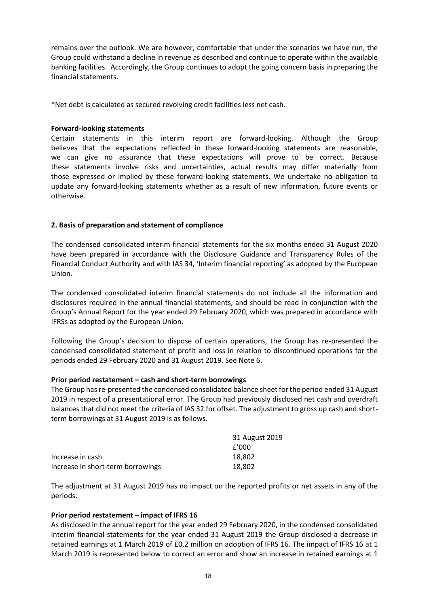remains over the outlook. We are however, comfortable that under the scenarios we have run, the Group could withstand a decline in revenue as described and continue to operate within the available banking facilities. Accordingly, the Group continues to adopt the going concern basis in preparing the financial statements.

\*Net debt is calculated as secured revolving credit facilities less net cash.

## **Forward-looking statements**

Certain statements in this interim report are forward-looking. Although the Group believes that the expectations reflected in these forward-looking statements are reasonable, we can give no assurance that these expectations will prove to be correct. Because these statements involve risks and uncertainties, actual results may differ materially from those expressed or implied by these forward-looking statements. We undertake no obligation to update any forward-looking statements whether as a result of new information, future events or otherwise.

## **2. Basis of preparation and statement of compliance**

The condensed consolidated interim financial statements for the six months ended 31 August 2020 have been prepared in accordance with the Disclosure Guidance and Transparency Rules of the Financial Conduct Authority and with IAS 34, 'Interim financial reporting' as adopted by the European Union.

The condensed consolidated interim financial statements do not include all the information and disclosures required in the annual financial statements, and should be read in conjunction with the Group's Annual Report for the year ended 29 February 2020, which was prepared in accordance with IFRSs as adopted by the European Union.

Following the Group's decision to dispose of certain operations, the Group has re-presented the condensed consolidated statement of profit and loss in relation to discontinued operations for the periods ended 29 February 2020 and 31 August 2019. See Note 6.

### **Prior period restatement – cash and short-term borrowings**

The Group has re-presented the condensed consolidated balance sheet for the period ended 31 August 2019 in respect of a presentational error. The Group had previously disclosed net cash and overdraft balances that did not meet the criteria of IAS 32 for offset. The adjustment to gross up cash and shortterm borrowings at 31 August 2019 is as follows.

|                                   | 31 August 2019 |
|-----------------------------------|----------------|
|                                   | f'000          |
| Increase in cash                  | 18.802         |
| Increase in short-term borrowings | 18.802         |

The adjustment at 31 August 2019 has no impact on the reported profits or net assets in any of the periods.

### **Prior period restatement – impact of IFRS 16**

As disclosed in the annual report for the year ended 29 February 2020, in the condensed consolidated interim financial statements for the year ended 31 August 2019 the Group disclosed a decrease in retained earnings at 1 March 2019 of £0.2 million on adoption of IFRS 16. The impact of IFRS 16 at 1 March 2019 is represented below to correct an error and show an increase in retained earnings at 1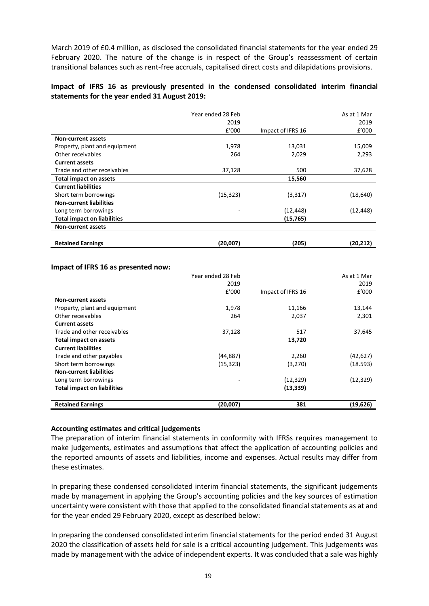March 2019 of £0.4 million, as disclosed the consolidated financial statements for the year ended 29 February 2020. The nature of the change is in respect of the Group's reassessment of certain transitional balances such as rent-free accruals, capitalised direct costs and dilapidations provisions.

## **Impact of IFRS 16 as previously presented in the condensed consolidated interim financial statements for the year ended 31 August 2019:**

|                                    | Year ended 28 Feb |                   | As at 1 Mar |
|------------------------------------|-------------------|-------------------|-------------|
|                                    | 2019              |                   | 2019        |
|                                    | E'000             | Impact of IFRS 16 | £'000       |
| <b>Non-current assets</b>          |                   |                   |             |
| Property, plant and equipment      | 1,978             | 13,031            | 15,009      |
| Other receivables                  | 264               | 2,029             | 2,293       |
| <b>Current assets</b>              |                   |                   |             |
| Trade and other receivables        | 37,128            | 500               | 37,628      |
| <b>Total impact on assets</b>      |                   | 15,560            |             |
| <b>Current liabilities</b>         |                   |                   |             |
| Short term borrowings              | (15, 323)         | (3,317)           | (18, 640)   |
| <b>Non-current liabilities</b>     |                   |                   |             |
| Long term borrowings               |                   | (12, 448)         | (12, 448)   |
| <b>Total impact on liabilities</b> |                   | (15, 765)         |             |
| <b>Non-current assets</b>          |                   |                   |             |
|                                    |                   |                   |             |
| <b>Retained Earnings</b>           | (20,007)          | (205)             | (20, 212)   |

#### **Impact of IFRS 16 as presented now:**

|                                    | Year ended 28 Feb |                   | As at 1 Mar |
|------------------------------------|-------------------|-------------------|-------------|
|                                    | 2019              |                   | 2019        |
|                                    | £'000             | Impact of IFRS 16 | f'000       |
| <b>Non-current assets</b>          |                   |                   |             |
| Property, plant and equipment      | 1,978             | 11,166            | 13,144      |
| Other receivables                  | 264               | 2,037             | 2,301       |
| <b>Current assets</b>              |                   |                   |             |
| Trade and other receivables        | 37,128            | 517               | 37,645      |
| Total impact on assets             |                   | 13,720            |             |
| <b>Current liabilities</b>         |                   |                   |             |
| Trade and other payables           | (44, 887)         | 2,260             | (42, 627)   |
| Short term borrowings              | (15, 323)         | (3,270)           | (18.593)    |
| <b>Non-current liabilities</b>     |                   |                   |             |
| Long term borrowings               |                   | (12, 329)         | (12, 329)   |
| <b>Total impact on liabilities</b> |                   | (13, 339)         |             |
|                                    |                   |                   |             |
| <b>Retained Earnings</b>           | (20,007)          | 381               | (19,626)    |

### **Accounting estimates and critical judgements**

The preparation of interim financial statements in conformity with IFRSs requires management to make judgements, estimates and assumptions that affect the application of accounting policies and the reported amounts of assets and liabilities, income and expenses. Actual results may differ from these estimates.

In preparing these condensed consolidated interim financial statements, the significant judgements made by management in applying the Group's accounting policies and the key sources of estimation uncertainty were consistent with those that applied to the consolidated financial statements as at and for the year ended 29 February 2020, except as described below:

In preparing the condensed consolidated interim financial statements for the period ended 31 August 2020 the classification of assets held for sale is a critical accounting judgement. This judgements was made by management with the advice of independent experts. It was concluded that a sale was highly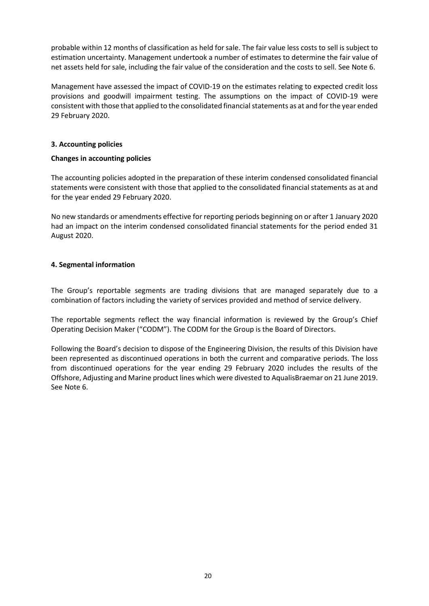probable within 12 months of classification as held for sale. The fair value less costs to sell is subject to estimation uncertainty. Management undertook a number of estimates to determine the fair value of net assets held for sale, including the fair value of the consideration and the costs to sell. See Note 6.

Management have assessed the impact of COVID-19 on the estimates relating to expected credit loss provisions and goodwill impairment testing. The assumptions on the impact of COVID-19 were consistent with those that applied to the consolidated financial statements as at and for the year ended 29 February 2020.

## **3. Accounting policies**

## **Changes in accounting policies**

The accounting policies adopted in the preparation of these interim condensed consolidated financial statements were consistent with those that applied to the consolidated financial statements as at and for the year ended 29 February 2020.

No new standards or amendments effective for reporting periods beginning on or after 1 January 2020 had an impact on the interim condensed consolidated financial statements for the period ended 31 August 2020.

## **4. Segmental information**

The Group's reportable segments are trading divisions that are managed separately due to a combination of factors including the variety of services provided and method of service delivery.

The reportable segments reflect the way financial information is reviewed by the Group's Chief Operating Decision Maker ("CODM"). The CODM for the Group is the Board of Directors.

Following the Board's decision to dispose of the Engineering Division, the results of this Division have been represented as discontinued operations in both the current and comparative periods. The loss from discontinued operations for the year ending 29 February 2020 includes the results of the Offshore, Adjusting and Marine product lines which were divested to AqualisBraemar on 21 June 2019. See Note 6.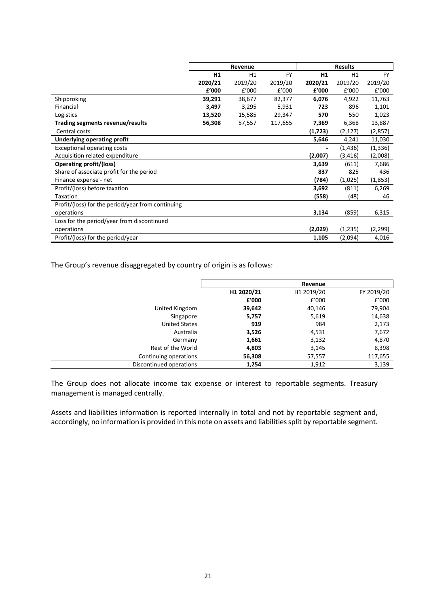|                                                   |         | Revenue |           |         | <b>Results</b> |           |
|---------------------------------------------------|---------|---------|-----------|---------|----------------|-----------|
|                                                   | H1      | H1      | <b>FY</b> | H1      | H1             | <b>FY</b> |
|                                                   | 2020/21 | 2019/20 | 2019/20   | 2020/21 | 2019/20        | 2019/20   |
|                                                   | £'000   | f'000   | E'000     | f'000   | £'000          | £'000     |
| Shipbroking                                       | 39,291  | 38,677  | 82,377    | 6,076   | 4,922          | 11,763    |
| Financial                                         | 3,497   | 3,295   | 5,931     | 723     | 896            | 1,101     |
| Logistics                                         | 13,520  | 15,585  | 29,347    | 570     | 550            | 1,023     |
| Trading segments revenue/results                  | 56,308  | 57,557  | 117,655   | 7,369   | 6,368          | 13,887    |
| Central costs                                     |         |         |           | (1,723) | (2, 127)       | (2,857)   |
| Underlying operating profit                       |         |         |           | 5,646   | 4,241          | 11,030    |
| <b>Exceptional operating costs</b>                |         |         |           |         | (1, 436)       | (1, 336)  |
| Acquisition related expenditure                   |         |         |           | (2,007) | (3, 416)       | (2,008)   |
| <b>Operating profit/(loss)</b>                    |         |         |           | 3,639   | (611)          | 7,686     |
| Share of associate profit for the period          |         |         |           | 837     | 825            | 436       |
| Finance expense - net                             |         |         |           | (784)   | (1,025)        | (1,853)   |
| Profit/(loss) before taxation                     |         |         |           | 3,692   | (811)          | 6,269     |
| Taxation                                          |         |         |           | (558)   | (48)           | 46        |
| Profit/(loss) for the period/year from continuing |         |         |           |         |                |           |
| operations                                        |         |         |           | 3,134   | (859)          | 6,315     |
| Loss for the period/year from discontinued        |         |         |           |         |                |           |
| operations                                        |         |         |           | (2,029) | (1,235)        | (2, 299)  |
| Profit/(loss) for the period/year                 |         |         |           | 1,105   | (2,094)        | 4,016     |

The Group's revenue disaggregated by country of origin is as follows:

|                         |            | Revenue    |            |
|-------------------------|------------|------------|------------|
|                         | H1 2020/21 | H1 2019/20 | FY 2019/20 |
|                         | £'000      | £'000      | £'000      |
| United Kingdom          | 39,642     | 40,146     | 79,904     |
| Singapore               | 5,757      | 5,619      | 14,638     |
| <b>United States</b>    | 919        | 984        | 2,173      |
| Australia               | 3,526      | 4,531      | 7,672      |
| Germany                 | 1,661      | 3,132      | 4,870      |
| Rest of the World       | 4,803      | 3,145      | 8,398      |
| Continuing operations   | 56,308     | 57,557     | 117,655    |
| Discontinued operations | 1,254      | 1,912      | 3,139      |

The Group does not allocate income tax expense or interest to reportable segments. Treasury management is managed centrally.

Assets and liabilities information is reported internally in total and not by reportable segment and, accordingly, no information is provided in this note on assets and liabilities split by reportable segment.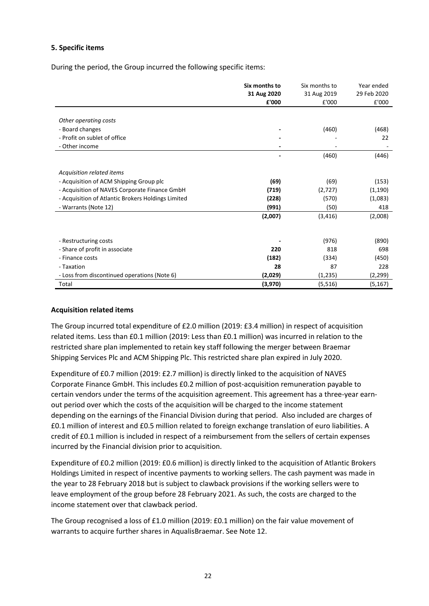## **5. Specific items**

During the period, the Group incurred the following specific items:

|                                                    | Six months to<br>31 Aug 2020<br>£'000 | Six months to<br>31 Aug 2019<br>£'000 | Year ended<br>29 Feb 2020<br>£'000 |
|----------------------------------------------------|---------------------------------------|---------------------------------------|------------------------------------|
|                                                    |                                       |                                       |                                    |
| Other operating costs                              |                                       |                                       |                                    |
| - Board changes                                    |                                       | (460)                                 | (468)                              |
| - Profit on sublet of office                       |                                       |                                       | 22                                 |
| - Other income                                     |                                       |                                       |                                    |
|                                                    |                                       | (460)                                 | (446)                              |
|                                                    |                                       |                                       |                                    |
| Acquisition related items                          |                                       |                                       |                                    |
| - Acquisition of ACM Shipping Group plc            | (69)                                  | (69)                                  | (153)                              |
| - Acquisition of NAVES Corporate Finance GmbH      | (719)                                 | (2,727)                               | (1, 190)                           |
| - Acquisition of Atlantic Brokers Holdings Limited | (228)                                 | (570)                                 | (1,083)                            |
| - Warrants (Note 12)                               | (991)                                 | (50)                                  | 418                                |
|                                                    | (2,007)                               | (3, 416)                              | (2,008)                            |
|                                                    |                                       |                                       |                                    |
| - Restructuring costs                              |                                       | (976)                                 | (890)                              |
| - Share of profit in associate                     | 220                                   | 818                                   | 698                                |
| - Finance costs                                    |                                       | (334)                                 |                                    |
| - Taxation                                         | (182)<br>28                           | 87                                    | (450)<br>228                       |
|                                                    |                                       |                                       |                                    |
| - Loss from discontinued operations (Note 6)       | (2,029)                               | (1, 235)                              | (2, 299)                           |
| Total                                              | (3,970)                               | (5, 516)                              | (5, 167)                           |

### **Acquisition related items**

The Group incurred total expenditure of £2.0 million (2019: £3.4 million) in respect of acquisition related items. Less than £0.1 million (2019: Less than £0.1 million) was incurred in relation to the restricted share plan implemented to retain key staff following the merger between Braemar Shipping Services Plc and ACM Shipping Plc. This restricted share plan expired in July 2020.

Expenditure of £0.7 million (2019: £2.7 million) is directly linked to the acquisition of NAVES Corporate Finance GmbH. This includes £0.2 million of post-acquisition remuneration payable to certain vendors under the terms of the acquisition agreement. This agreement has a three-year earnout period over which the costs of the acquisition will be charged to the income statement depending on the earnings of the Financial Division during that period. Also included are charges of £0.1 million of interest and £0.5 million related to foreign exchange translation of euro liabilities. A credit of £0.1 million is included in respect of a reimbursement from the sellers of certain expenses incurred by the Financial division prior to acquisition.

Expenditure of £0.2 million (2019: £0.6 million) is directly linked to the acquisition of Atlantic Brokers Holdings Limited in respect of incentive payments to working sellers. The cash payment was made in the year to 28 February 2018 but is subject to clawback provisions if the working sellers were to leave employment of the group before 28 February 2021. As such, the costs are charged to the income statement over that clawback period.

The Group recognised a loss of £1.0 million (2019: £0.1 million) on the fair value movement of warrants to acquire further shares in AqualisBraemar. See Note 12.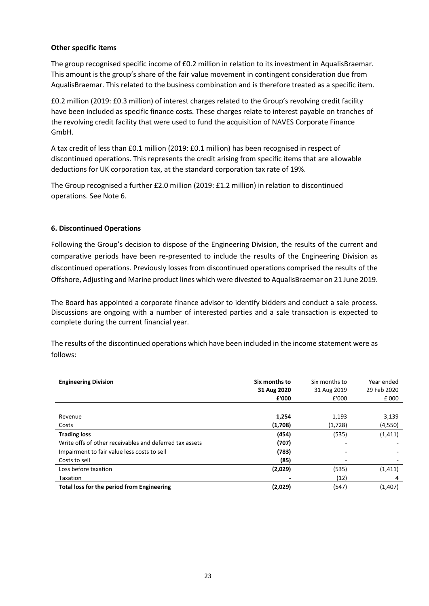## **Other specific items**

The group recognised specific income of £0.2 million in relation to its investment in AqualisBraemar. This amount is the group's share of the fair value movement in contingent consideration due from AqualisBraemar. This related to the business combination and is therefore treated as a specific item.

£0.2 million (2019: £0.3 million) of interest charges related to the Group's revolving credit facility have been included as specific finance costs. These charges relate to interest payable on tranches of the revolving credit facility that were used to fund the acquisition of NAVES Corporate Finance GmbH.

A tax credit of less than £0.1 million (2019: £0.1 million) has been recognised in respect of discontinued operations. This represents the credit arising from specific items that are allowable deductions for UK corporation tax, at the standard corporation tax rate of 19%.

The Group recognised a further £2.0 million (2019: £1.2 million) in relation to discontinued operations. See Note 6.

## **6. Discontinued Operations**

Following the Group's decision to dispose of the Engineering Division, the results of the current and comparative periods have been re-presented to include the results of the Engineering Division as discontinued operations. Previously losses from discontinued operations comprised the results of the Offshore, Adjusting and Marine product lines which were divested to AqualisBraemar on 21 June 2019.

The Board has appointed a corporate finance advisor to identify bidders and conduct a sale process. Discussions are ongoing with a number of interested parties and a sale transaction is expected to complete during the current financial year.

The results of the discontinued operations which have been included in the income statement were as follows:

| <b>Engineering Division</b>                             | Six months to  | Six months to | Year ended  |
|---------------------------------------------------------|----------------|---------------|-------------|
|                                                         | 31 Aug 2020    | 31 Aug 2019   | 29 Feb 2020 |
|                                                         | £'000          | £'000         | £'000       |
|                                                         |                |               |             |
| Revenue                                                 | 1,254          | 1,193         | 3,139       |
| Costs                                                   | (1,708)        | (1,728)       | (4,550)     |
| <b>Trading loss</b>                                     | (454)          | (535)         | (1, 411)    |
| Write offs of other receivables and deferred tax assets | (707)          |               |             |
| Impairment to fair value less costs to sell             | (783)          |               |             |
| Costs to sell                                           | (85)           |               |             |
| Loss before taxation                                    | (2,029)        | (535)         | (1, 411)    |
| Taxation                                                | $\blacksquare$ | (12)          | 4           |
| Total loss for the period from Engineering              | (2,029)        | (547)         | (1,407)     |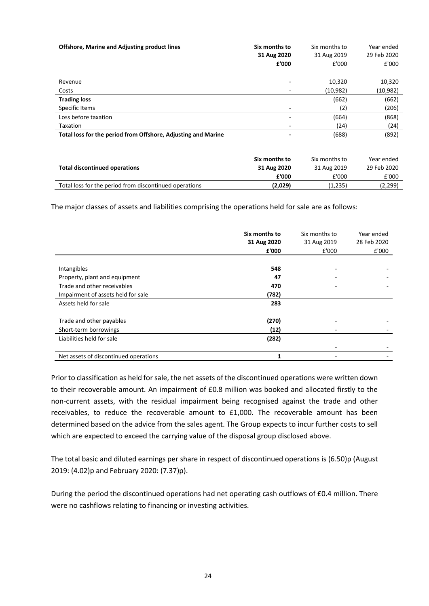| <b>Offshore, Marine and Adjusting product lines</b>           | Six months to<br>31 Aug 2020<br>£'000 | Six months to<br>31 Aug 2019<br>£'000 | Year ended<br>29 Feb 2020<br>£'000 |
|---------------------------------------------------------------|---------------------------------------|---------------------------------------|------------------------------------|
|                                                               |                                       |                                       |                                    |
| Revenue<br>Costs                                              | ٠                                     | 10,320<br>(10,982)                    | 10,320<br>(10, 982)                |
| <b>Trading loss</b>                                           |                                       | (662)                                 | (662)                              |
| Specific Items                                                |                                       | (2)                                   | (206)                              |
| Loss before taxation                                          |                                       | (664)                                 | (868)                              |
| Taxation                                                      |                                       | (24)                                  | (24)                               |
| Total loss for the period from Offshore, Adjusting and Marine |                                       | (688)                                 | (892)                              |
|                                                               | Six months to                         | Six months to                         | Year ended                         |
| <b>Total discontinued operations</b>                          | 31 Aug 2020                           | 31 Aug 2019                           | 29 Feb 2020                        |
|                                                               | £'000                                 | £'000                                 | £'000                              |
| Total loss for the period from discontinued operations        | (2,029)                               | (1,235)                               | (2, 299)                           |

The major classes of assets and liabilities comprising the operations held for sale are as follows:

|                                       | Six months to<br>31 Aug 2020<br>£'000 | Six months to<br>31 Aug 2019<br>£'000 | Year ended<br>28 Feb 2020<br>£'000 |
|---------------------------------------|---------------------------------------|---------------------------------------|------------------------------------|
| Intangibles                           | 548                                   |                                       |                                    |
| Property, plant and equipment         | 47                                    |                                       |                                    |
| Trade and other receivables           | 470                                   |                                       |                                    |
| Impairment of assets held for sale    | (782)                                 |                                       |                                    |
| Assets held for sale                  | 283                                   |                                       |                                    |
| Trade and other payables              | (270)                                 |                                       |                                    |
| Short-term borrowings                 | (12)                                  |                                       |                                    |
| Liabilities held for sale             | (282)                                 |                                       |                                    |
|                                       |                                       |                                       |                                    |
| Net assets of discontinued operations |                                       |                                       |                                    |

Prior to classification as held for sale, the net assets of the discontinued operations were written down to their recoverable amount. An impairment of £0.8 million was booked and allocated firstly to the non-current assets, with the residual impairment being recognised against the trade and other receivables, to reduce the recoverable amount to £1,000. The recoverable amount has been determined based on the advice from the sales agent. The Group expects to incur further costs to sell which are expected to exceed the carrying value of the disposal group disclosed above.

The total basic and diluted earnings per share in respect of discontinued operations is (6.50)p (August 2019: (4.02)p and February 2020: (7.37)p).

During the period the discontinued operations had net operating cash outflows of £0.4 million. There were no cashflows relating to financing or investing activities.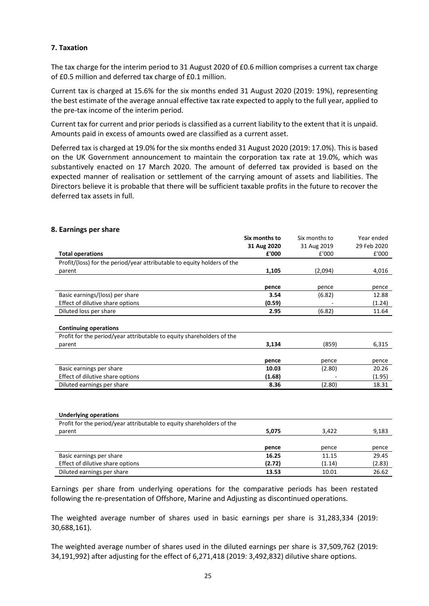## **7. Taxation**

The tax charge for the interim period to 31 August 2020 of £0.6 million comprises a current tax charge of £0.5 million and deferred tax charge of £0.1 million.

Current tax is charged at 15.6% for the six months ended 31 August 2020 (2019: 19%), representing the best estimate of the average annual effective tax rate expected to apply to the full year, applied to the pre-tax income of the interim period.

Current tax for current and prior periods is classified as a current liability to the extent that it is unpaid. Amounts paid in excess of amounts owed are classified as a current asset.

Deferred tax is charged at 19.0% for the six months ended 31 August 2020 (2019: 17.0%). This is based on the UK Government announcement to maintain the corporation tax rate at 19.0%, which was substantively enacted on 17 March 2020. The amount of deferred tax provided is based on the expected manner of realisation or settlement of the carrying amount of assets and liabilities. The Directors believe it is probable that there will be sufficient taxable profits in the future to recover the deferred tax assets in full.

|                                                                         | Six months to | Six months to | Year ended     |
|-------------------------------------------------------------------------|---------------|---------------|----------------|
|                                                                         |               | 31 Aug 2019   | 29 Feb 2020    |
|                                                                         | 31 Aug 2020   |               |                |
| <b>Total operations</b>                                                 | £'000         | £'000         | £'000          |
| Profit/(loss) for the period/year attributable to equity holders of the |               |               |                |
| parent                                                                  | 1,105         | (2,094)       | 4,016          |
|                                                                         | pence         | pence         | pence          |
| Basic earnings/(loss) per share                                         | 3.54          | (6.82)        | 12.88          |
| Effect of dilutive share options                                        | (0.59)        |               | (1.24)         |
| Diluted loss per share                                                  | 2.95          | (6.82)        | 11.64          |
|                                                                         |               |               |                |
| <b>Continuing operations</b>                                            |               |               |                |
| Profit for the period/year attributable to equity shareholders of the   |               |               |                |
| parent                                                                  | 3,134         | (859)         |                |
|                                                                         | pence         | pence         | 6,315<br>pence |
| Basic earnings per share                                                | 10.03         | (2.80)        | 20.26          |
| Effect of dilutive share options                                        | (1.68)        |               | (1.95)         |

### **8. Earnings per share**

| <b>Underlying operations</b> |  |
|------------------------------|--|
|------------------------------|--|

| Profit for the period/year attributable to equity shareholders of the |        |        |        |
|-----------------------------------------------------------------------|--------|--------|--------|
| parent                                                                | 5.075  | 3.422  | 9,183  |
|                                                                       |        |        |        |
|                                                                       | pence  | pence  | pence  |
| Basic earnings per share                                              | 16.25  | 11.15  | 29.45  |
| Effect of dilutive share options                                      | (2.72) | (1.14) | (2.83) |
| Diluted earnings per share                                            | 13.53  | 10.01  | 26.62  |

Earnings per share from underlying operations for the comparative periods has been restated following the re-presentation of Offshore, Marine and Adjusting as discontinued operations.

The weighted average number of shares used in basic earnings per share is 31,283,334 (2019: 30,688,161).

The weighted average number of shares used in the diluted earnings per share is 37,509,762 (2019: 34,191,992) after adjusting for the effect of 6,271,418 (2019: 3,492,832) dilutive share options.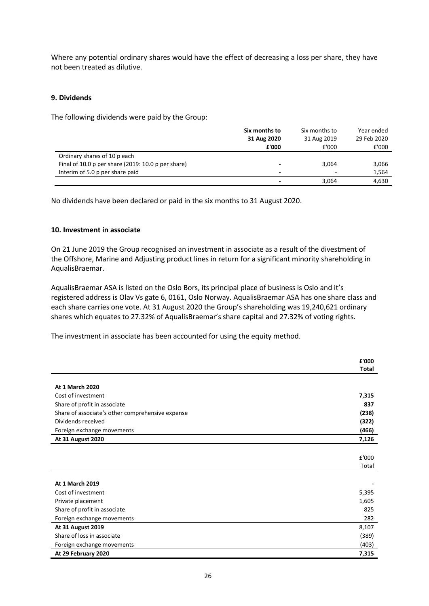Where any potential ordinary shares would have the effect of decreasing a loss per share, they have not been treated as dilutive.

#### **9. Dividends**

The following dividends were paid by the Group:

|                                                    | Six months to<br>31 Aug 2020 | Six months to<br>31 Aug 2019 | Year ended<br>29 Feb 2020 |
|----------------------------------------------------|------------------------------|------------------------------|---------------------------|
|                                                    | £'000                        | £'000                        | £'000                     |
| Ordinary shares of 10 p each                       |                              |                              |                           |
| Final of 10.0 p per share (2019: 10.0 p per share) |                              | 3,064                        | 3,066                     |
| Interim of 5.0 p per share paid                    | $\overline{\phantom{0}}$     | ۰                            | 1,564                     |
|                                                    |                              | 3.064                        | 4,630                     |

No dividends have been declared or paid in the six months to 31 August 2020.

#### **10. Investment in associate**

On 21 June 2019 the Group recognised an investment in associate as a result of the divestment of the Offshore, Marine and Adjusting product lines in return for a significant minority shareholding in AqualisBraemar.

AqualisBraemar ASA is listed on the Oslo Bors, its principal place of business is Oslo and it's registered address is Olav Vs gate 6, 0161, Oslo Norway. AqualisBraemar ASA has one share class and each share carries one vote. At 31 August 2020 the Group's shareholding was 19,240,621 ordinary shares which equates to 27.32% of AqualisBraemar's share capital and 27.32% of voting rights.

The investment in associate has been accounted for using the equity method.

|                                                  | £'000        |
|--------------------------------------------------|--------------|
|                                                  | <b>Total</b> |
|                                                  |              |
| <b>At 1 March 2020</b>                           |              |
| Cost of investment                               | 7,315        |
| Share of profit in associate                     | 837          |
| Share of associate's other comprehensive expense | (238)        |
| Dividends received                               | (322)        |
| Foreign exchange movements                       | (466)        |
| At 31 August 2020                                | 7,126        |
|                                                  |              |
|                                                  | £'000        |
|                                                  | Total        |
|                                                  |              |
| <b>At 1 March 2019</b>                           |              |
| Cost of investment                               | 5,395        |
| Private placement                                | 1,605        |
| Share of profit in associate                     | 825          |
| Foreign exchange movements                       | 282          |
| <b>At 31 August 2019</b>                         | 8,107        |
| Share of loss in associate                       | (389)        |
| Foreign exchange movements                       | (403)        |
| At 29 February 2020                              | 7,315        |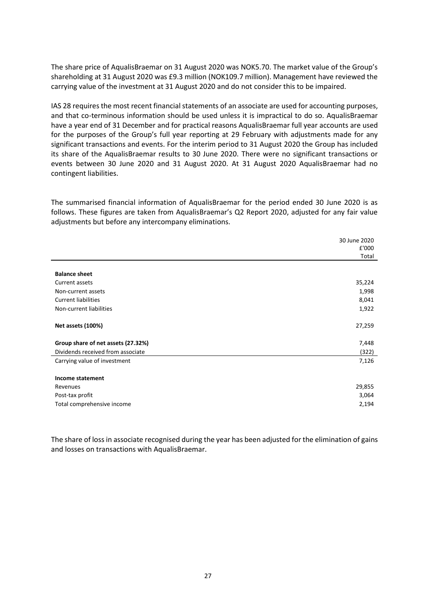The share price of AqualisBraemar on 31 August 2020 was NOK5.70. The market value of the Group's shareholding at 31 August 2020 was £9.3 million (NOK109.7 million). Management have reviewed the carrying value of the investment at 31 August 2020 and do not consider this to be impaired.

IAS 28 requires the most recent financial statements of an associate are used for accounting purposes, and that co-terminous information should be used unless it is impractical to do so. AqualisBraemar have a year end of 31 December and for practical reasons AqualisBraemar full year accounts are used for the purposes of the Group's full year reporting at 29 February with adjustments made for any significant transactions and events. For the interim period to 31 August 2020 the Group has included its share of the AqualisBraemar results to 30 June 2020. There were no significant transactions or events between 30 June 2020 and 31 August 2020. At 31 August 2020 AqualisBraemar had no contingent liabilities.

The summarised financial information of AqualisBraemar for the period ended 30 June 2020 is as follows. These figures are taken from AqualisBraemar's Q2 Report 2020, adjusted for any fair value adjustments but before any intercompany eliminations.

|                                    | 30 June 2020<br>£'000 |
|------------------------------------|-----------------------|
|                                    | Total                 |
| <b>Balance sheet</b>               |                       |
| Current assets                     | 35,224                |
| Non-current assets                 | 1,998                 |
| <b>Current liabilities</b>         | 8,041                 |
| Non-current liabilities            | 1,922                 |
|                                    |                       |
| Net assets (100%)                  | 27,259                |
|                                    |                       |
| Group share of net assets (27.32%) | 7,448                 |
| Dividends received from associate  | (322)                 |
| Carrying value of investment       | 7,126                 |
|                                    |                       |
| Income statement                   |                       |
| Revenues                           | 29,855                |
| Post-tax profit                    | 3,064                 |
| Total comprehensive income         | 2,194                 |

The share of loss in associate recognised during the year has been adjusted for the elimination of gains and losses on transactions with AqualisBraemar.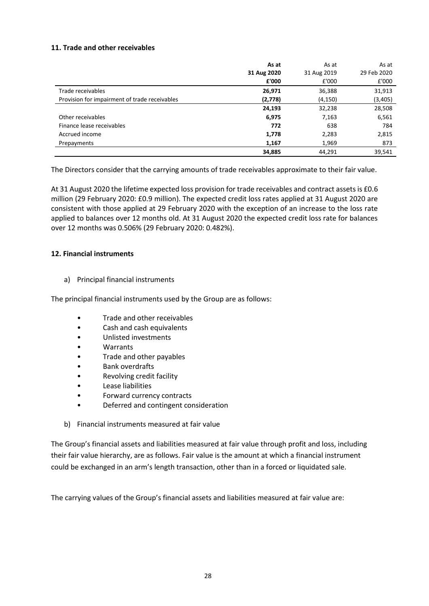## **11. Trade and other receivables**

|                                               | As at       | As at       | As at       |
|-----------------------------------------------|-------------|-------------|-------------|
|                                               | 31 Aug 2020 | 31 Aug 2019 | 29 Feb 2020 |
|                                               | £'000       | £'000       | £'000       |
| Trade receivables                             | 26,971      | 36,388      | 31,913      |
| Provision for impairment of trade receivables | (2,778)     | (4, 150)    | (3, 405)    |
|                                               | 24,193      | 32,238      | 28,508      |
| Other receivables                             | 6,975       | 7,163       | 6,561       |
| Finance lease receivables                     | 772         | 638         | 784         |
| Accrued income                                | 1,778       | 2,283       | 2,815       |
| Prepayments                                   | 1,167       | 1,969       | 873         |
|                                               | 34,885      | 44,291      | 39,541      |

The Directors consider that the carrying amounts of trade receivables approximate to their fair value.

At 31 August 2020 the lifetime expected loss provision for trade receivables and contract assets is £0.6 million (29 February 2020: £0.9 million). The expected credit loss rates applied at 31 August 2020 are consistent with those applied at 29 February 2020 with the exception of an increase to the loss rate applied to balances over 12 months old. At 31 August 2020 the expected credit loss rate for balances over 12 months was 0.506% (29 February 2020: 0.482%).

### **12. Financial instruments**

a) Principal financial instruments

The principal financial instruments used by the Group are as follows:

- Trade and other receivables
- Cash and cash equivalents
- Unlisted investments
- Warrants
- Trade and other payables
- Bank overdrafts
- Revolving credit facility
- Lease liabilities
- Forward currency contracts
- Deferred and contingent consideration
- b) Financial instruments measured at fair value

The Group's financial assets and liabilities measured at fair value through profit and loss, including their fair value hierarchy, are as follows. Fair value is the amount at which a financial instrument could be exchanged in an arm's length transaction, other than in a forced or liquidated sale.

The carrying values of the Group's financial assets and liabilities measured at fair value are: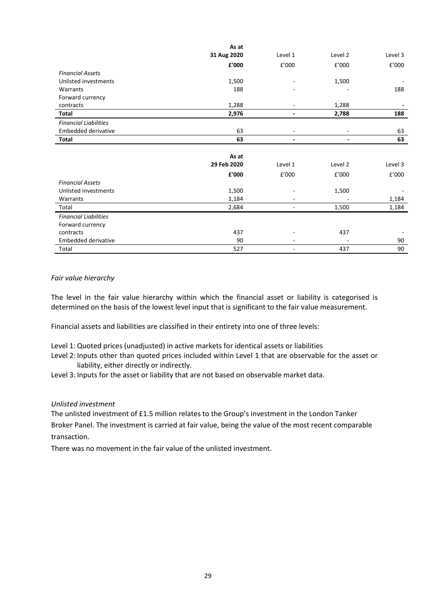|                              | As at       |                   |         |         |
|------------------------------|-------------|-------------------|---------|---------|
|                              | 31 Aug 2020 | Level 1           | Level 2 | Level 3 |
|                              | £'000       | £'000             | £'000   | £'000   |
| <b>Financial Assets</b>      |             |                   |         |         |
| Unlisted investments         | 1,500       |                   | 1,500   |         |
| Warrants                     | 188         |                   |         | 188     |
| Forward currency             |             |                   |         |         |
| contracts                    | 1,288       |                   | 1,288   |         |
| Total                        | 2,976       |                   | 2,788   | 188     |
| <b>Financial Liabilities</b> |             |                   |         |         |
| <b>Embedded derivative</b>   | 63          | ۰                 |         | 63      |
| <b>Total</b>                 | 63          | ۰                 | ٠       | 63      |
|                              |             |                   |         |         |
|                              | As at       |                   |         |         |
|                              | 29 Feb 2020 | Level 1           | Level 2 | Level 3 |
|                              | £'000       | £'000             | £'000   | £'000   |
| <b>Financial Assets</b>      |             |                   |         |         |
| Unlisted investments         | 1,500       |                   | 1,500   |         |
| Warrants                     | 1,184       |                   |         | 1,184   |
| Total                        | 2,684       | ٠                 | 1,500   | 1,184   |
| <b>Financial Liabilities</b> |             |                   |         |         |
| Forward currency             |             |                   |         |         |
| contracts                    | 437         |                   | 437     |         |
| <b>Embedded derivative</b>   | 90          | $\qquad \qquad -$ |         | 90      |
| Total                        | 527         | ٠                 | 437     | 90      |

### *Fair value hierarchy*

The level in the fair value hierarchy within which the financial asset or liability is categorised is determined on the basis of the lowest level input that is significant to the fair value measurement.

Financial assets and liabilities are classified in their entirety into one of three levels:

- Level 1:Quoted prices (unadjusted) in active markets for identical assets or liabilities
- Level 2: Inputs other than quoted prices included within Level 1 that are observable for the asset or liability, either directly or indirectly.

Level 3: Inputs for the asset or liability that are not based on observable market data.

### *Unlisted investment*

The unlisted investment of £1.5 million relates to the Group's investment in the London Tanker Broker Panel. The investment is carried at fair value, being the value of the most recent comparable transaction.

There was no movement in the fair value of the unlisted investment.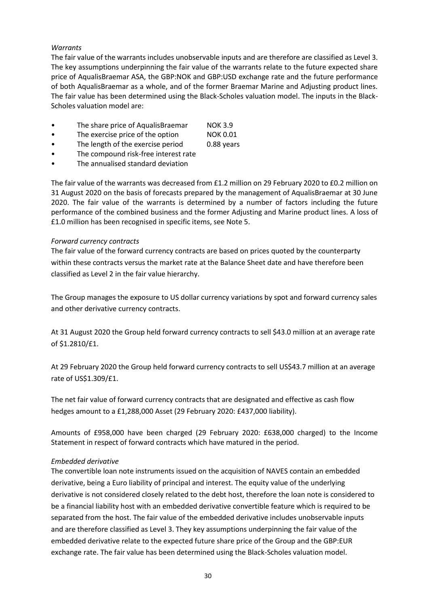## *Warrants*

The fair value of the warrants includes unobservable inputs and are therefore are classified as Level 3. The key assumptions underpinning the fair value of the warrants relate to the future expected share price of AqualisBraemar ASA, the GBP:NOK and GBP:USD exchange rate and the future performance of both AqualisBraemar as a whole, and of the former Braemar Marine and Adjusting product lines. The fair value has been determined using the Black-Scholes valuation model. The inputs in the Black-Scholes valuation model are:

- The share price of AqualisBraemar NOK 3.9
- The exercise price of the option NOK 0.01
- The length of the exercise period 0.88 years
- The compound risk-free interest rate
- The annualised standard deviation

The fair value of the warrants was decreased from £1.2 million on 29 February 2020 to £0.2 million on 31 August 2020 on the basis of forecasts prepared by the management of AqualisBraemar at 30 June 2020. The fair value of the warrants is determined by a number of factors including the future performance of the combined business and the former Adjusting and Marine product lines. A loss of £1.0 million has been recognised in specific items, see Note 5.

### *Forward currency contracts*

The fair value of the forward currency contracts are based on prices quoted by the counterparty within these contracts versus the market rate at the Balance Sheet date and have therefore been classified as Level 2 in the fair value hierarchy.

The Group manages the exposure to US dollar currency variations by spot and forward currency sales and other derivative currency contracts.

At 31 August 2020 the Group held forward currency contracts to sell \$43.0 million at an average rate of \$1.2810/£1.

At 29 February 2020 the Group held forward currency contracts to sell US\$43.7 million at an average rate of US\$1.309/£1.

The net fair value of forward currency contracts that are designated and effective as cash flow hedges amount to a £1,288,000 Asset (29 February 2020: £437,000 liability).

Amounts of £958,000 have been charged (29 February 2020: £638,000 charged) to the Income Statement in respect of forward contracts which have matured in the period.

## *Embedded derivative*

The convertible loan note instruments issued on the acquisition of NAVES contain an embedded derivative, being a Euro liability of principal and interest. The equity value of the underlying derivative is not considered closely related to the debt host, therefore the loan note is considered to be a financial liability host with an embedded derivative convertible feature which is required to be separated from the host. The fair value of the embedded derivative includes unobservable inputs and are therefore classified as Level 3. They key assumptions underpinning the fair value of the embedded derivative relate to the expected future share price of the Group and the GBP:EUR exchange rate. The fair value has been determined using the Black-Scholes valuation model.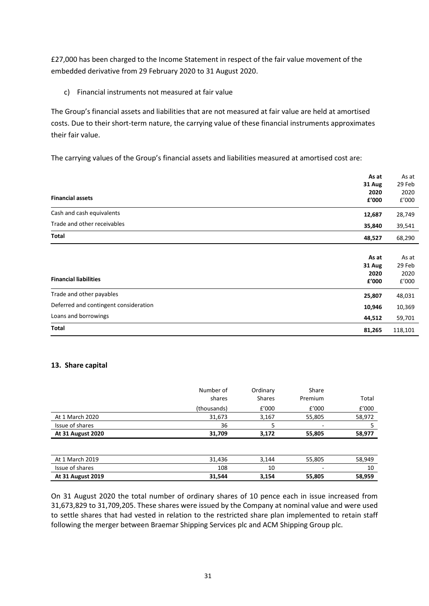£27,000 has been charged to the Income Statement in respect of the fair value movement of the embedded derivative from 29 February 2020 to 31 August 2020.

c) Financial instruments not measured at fair value

The Group's financial assets and liabilities that are not measured at fair value are held at amortised costs. Due to their short-term nature, the carrying value of these financial instruments approximates their fair value.

The carrying values of the Group's financial assets and liabilities measured at amortised cost are:

|                                       | As at  | As at   |
|---------------------------------------|--------|---------|
|                                       | 31 Aug | 29 Feb  |
|                                       | 2020   | 2020    |
| <b>Financial assets</b>               | £'000  | £'000   |
| Cash and cash equivalents             | 12,687 | 28,749  |
| Trade and other receivables           | 35,840 | 39,541  |
| Total                                 | 48,527 | 68,290  |
|                                       |        |         |
|                                       | As at  | As at   |
|                                       | 31 Aug | 29 Feb  |
|                                       | 2020   | 2020    |
| <b>Financial liabilities</b>          | £'000  | £'000   |
| Trade and other payables              | 25,807 | 48,031  |
| Deferred and contingent consideration | 10,946 | 10,369  |
| Loans and borrowings                  | 44,512 | 59,701  |
| Total                                 | 81,265 | 118,101 |

### **13. Share capital**

|                          | Number of<br>shares | Ordinary<br><b>Shares</b> | Share<br>Premium | Total  |
|--------------------------|---------------------|---------------------------|------------------|--------|
|                          | (thousands)         | £'000                     | E'000            | f'000  |
| At 1 March 2020          | 31,673              | 3,167                     | 55,805           | 58,972 |
| Issue of shares          | 36                  | 5                         | -                |        |
| <b>At 31 August 2020</b> | 31,709              | 3,172                     | 55,805           | 58,977 |
|                          |                     |                           |                  |        |
| At 1 March 2019          | 31,436              | 3,144                     | 55,805           | 58,949 |
| Issue of shares          | 108                 | 10                        | -                | 10     |
| <b>At 31 August 2019</b> | 31,544              | 3,154                     | 55,805           | 58,959 |

On 31 August 2020 the total number of ordinary shares of 10 pence each in issue increased from 31,673,829 to 31,709,205. These shares were issued by the Company at nominal value and were used to settle shares that had vested in relation to the restricted share plan implemented to retain staff following the merger between Braemar Shipping Services plc and ACM Shipping Group plc.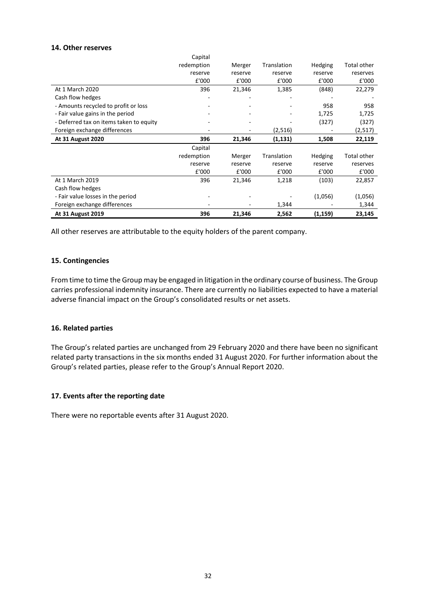## **14. Other reserves**

|                                         | Capital    |         |             |         |                    |
|-----------------------------------------|------------|---------|-------------|---------|--------------------|
|                                         | redemption | Merger  | Translation | Hedging | Total other        |
|                                         | reserve    | reserve | reserve     | reserve | reserves           |
|                                         | £'000      | £'000   | £'000       | £'000   | £'000              |
| At 1 March 2020                         | 396        | 21,346  | 1,385       | (848)   | 22,279             |
| Cash flow hedges                        |            |         |             |         |                    |
| - Amounts recycled to profit or loss    |            |         |             | 958     | 958                |
| - Fair value gains in the period        |            |         |             | 1,725   | 1,725              |
| - Deferred tax on items taken to equity |            |         |             | (327)   | (327)              |
| Foreign exchange differences            |            |         | (2,516)     |         | (2,517)            |
|                                         |            |         |             |         |                    |
| <b>At 31 August 2020</b>                | 396        | 21,346  | (1, 131)    | 1,508   | 22,119             |
|                                         | Capital    |         |             |         |                    |
|                                         | redemption | Merger  | Translation | Hedging | <b>Total other</b> |
|                                         | reserve    | reserve | reserve     | reserve | reserves           |
|                                         | £'000      | £'000   | £'000       | £'000   | £'000              |
| At 1 March 2019                         | 396        | 21,346  | 1,218       | (103)   | 22,857             |
| Cash flow hedges                        |            |         |             |         |                    |
| - Fair value losses in the period       |            |         |             | (1,056) | (1,056)            |
| Foreign exchange differences            |            |         | 1,344       |         | 1,344              |

All other reserves are attributable to the equity holders of the parent company.

### **15. Contingencies**

From time to time the Group may be engaged in litigation in the ordinary course of business. The Group carries professional indemnity insurance. There are currently no liabilities expected to have a material adverse financial impact on the Group's consolidated results or net assets.

#### **16. Related parties**

The Group's related parties are unchanged from 29 February 2020 and there have been no significant related party transactions in the six months ended 31 August 2020. For further information about the Group's related parties, please refer to the Group's Annual Report 2020.

### **17. Events after the reporting date**

There were no reportable events after 31 August 2020.